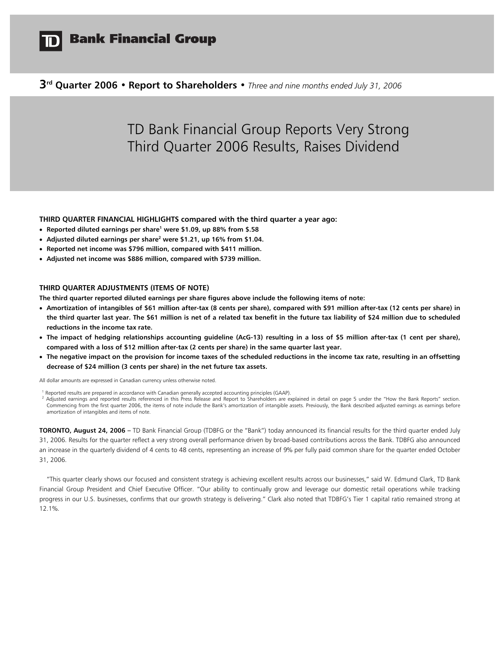

# **Bank Financial Group**

# **3rd Quarter 2006 • Report to Shareholders •** *Three and nine months ended July 31, 2006*

# TD Bank Financial Group Reports Very Strong Third Quarter 2006 Results, Raises Dividend

**THIRD QUARTER FINANCIAL HIGHLIGHTS compared with the third quarter a year ago:** 

- **Reported diluted earnings per share1 were \$1.09, up 88% from \$.58**
- Adjusted diluted earnings per share<sup>2</sup> were \$1.21, up 16% from \$1.04.
- **Reported net income was \$796 million, compared with \$411 million.**
- **Adjusted net income was \$886 million, compared with \$739 million.**

# **THIRD QUARTER ADJUSTMENTS (ITEMS OF NOTE)**

**The third quarter reported diluted earnings per share figures above include the following items of note:** 

- **Amortization of intangibles of \$61 million after-tax (8 cents per share), compared with \$91 million after-tax (12 cents per share) in the third quarter last year. The \$61 million is net of a related tax benefit in the future tax liability of \$24 million due to scheduled reductions in the income tax rate.**
- **The impact of hedging relationships accounting guideline (AcG-13) resulting in a loss of \$5 million after-tax (1 cent per share), compared with a loss of \$12 million after-tax (2 cents per share) in the same quarter last year.**
- **The negative impact on the provision for income taxes of the scheduled reductions in the income tax rate, resulting in an offsetting decrease of \$24 million (3 cents per share) in the net future tax assets.**

All dollar amounts are expressed in Canadian currency unless otherwise noted.

<sup>1</sup> Reported results are prepared in accordance with Canadian generally accepted accounting principles (GAAP).<br><sup>2</sup> Adjusted earnings and reported results referenced in this Press Release and Report to Shareholders are expl Commencing from the first quarter 2006, the items of note include the Bank's amortization of intangible assets. Previously, the Bank described adjusted earnings as earnings before amortization of intangibles and items of note.

**TORONTO, August 24, 2006 –** TD Bank Financial Group (TDBFG or the "Bank") today announced its financial results for the third quarter ended July 31, 2006. Results for the quarter reflect a very strong overall performance driven by broad-based contributions across the Bank. TDBFG also announced an increase in the quarterly dividend of 4 cents to 48 cents, representing an increase of 9% per fully paid common share for the quarter ended October 31, 2006.

"This quarter clearly shows our focused and consistent strategy is achieving excellent results across our businesses," said W. Edmund Clark, TD Bank Financial Group President and Chief Executive Officer. "Our ability to continually grow and leverage our domestic retail operations while tracking progress in our U.S. businesses, confirms that our growth strategy is delivering." Clark also noted that TDBFG's Tier 1 capital ratio remained strong at 12.1%.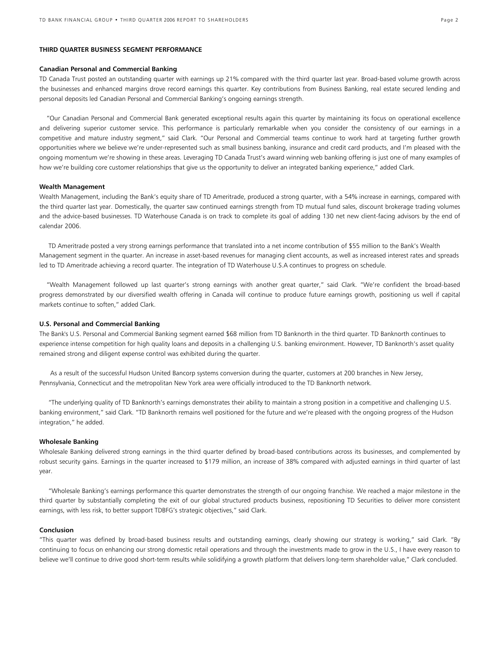### **THIRD QUARTER BUSINESS SEGMENT PERFORMANCE**

### **Canadian Personal and Commercial Banking**

TD Canada Trust posted an outstanding quarter with earnings up 21% compared with the third quarter last year. Broad-based volume growth across the businesses and enhanced margins drove record earnings this quarter. Key contributions from Business Banking, real estate secured lending and personal deposits led Canadian Personal and Commercial Banking's ongoing earnings strength.

"Our Canadian Personal and Commercial Bank generated exceptional results again this quarter by maintaining its focus on operational excellence and delivering superior customer service. This performance is particularly remarkable when you consider the consistency of our earnings in a competitive and mature industry segment," said Clark. "Our Personal and Commercial teams continue to work hard at targeting further growth opportunities where we believe we're under-represented such as small business banking, insurance and credit card products, and I'm pleased with the ongoing momentum we're showing in these areas. Leveraging TD Canada Trust's award winning web banking offering is just one of many examples of how we're building core customer relationships that give us the opportunity to deliver an integrated banking experience," added Clark.

### **Wealth Management**

Wealth Management, including the Bank's equity share of TD Ameritrade, produced a strong quarter, with a 54% increase in earnings, compared with the third quarter last year. Domestically, the quarter saw continued earnings strength from TD mutual fund sales, discount brokerage trading volumes and the advice-based businesses. TD Waterhouse Canada is on track to complete its goal of adding 130 net new client-facing advisors by the end of calendar 2006.

 TD Ameritrade posted a very strong earnings performance that translated into a net income contribution of \$55 million to the Bank's Wealth Management segment in the quarter. An increase in asset-based revenues for managing client accounts, as well as increased interest rates and spreads led to TD Ameritrade achieving a record quarter. The integration of TD Waterhouse U.S.A continues to progress on schedule.

 "Wealth Management followed up last quarter's strong earnings with another great quarter," said Clark. "We're confident the broad-based progress demonstrated by our diversified wealth offering in Canada will continue to produce future earnings growth, positioning us well if capital markets continue to soften," added Clark.

### **U.S. Personal and Commercial Banking**

The Bank's U.S. Personal and Commercial Banking segment earned \$68 million from TD Banknorth in the third quarter. TD Banknorth continues to experience intense competition for high quality loans and deposits in a challenging U.S. banking environment. However, TD Banknorth's asset quality remained strong and diligent expense control was exhibited during the quarter.

 As a result of the successful Hudson United Bancorp systems conversion during the quarter, customers at 200 branches in New Jersey, Pennsylvania, Connecticut and the metropolitan New York area were officially introduced to the TD Banknorth network.

 "The underlying quality of TD Banknorth's earnings demonstrates their ability to maintain a strong position in a competitive and challenging U.S. banking environment," said Clark. "TD Banknorth remains well positioned for the future and we're pleased with the ongoing progress of the Hudson integration," he added.

### **Wholesale Banking**

Wholesale Banking delivered strong earnings in the third quarter defined by broad-based contributions across its businesses, and complemented by robust security gains. Earnings in the quarter increased to \$179 million, an increase of 38% compared with adjusted earnings in third quarter of last year.

 "Wholesale Banking's earnings performance this quarter demonstrates the strength of our ongoing franchise. We reached a major milestone in the third quarter by substantially completing the exit of our global structured products business, repositioning TD Securities to deliver more consistent earnings, with less risk, to better support TDBFG's strategic objectives," said Clark.

### **Conclusion**

"This quarter was defined by broad-based business results and outstanding earnings, clearly showing our strategy is working," said Clark. "By continuing to focus on enhancing our strong domestic retail operations and through the investments made to grow in the U.S., I have every reason to believe we'll continue to drive good short-term results while solidifying a growth platform that delivers long-term shareholder value," Clark concluded.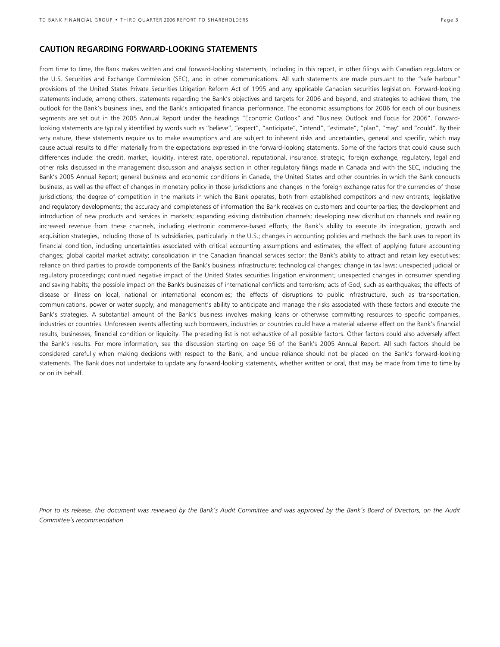# **CAUTION REGARDING FORWARD-LOOKING STATEMENTS**

From time to time, the Bank makes written and oral forward-looking statements, including in this report, in other filings with Canadian regulators or the U.S. Securities and Exchange Commission (SEC), and in other communications. All such statements are made pursuant to the "safe harbour" provisions of the United States Private Securities Litigation Reform Act of 1995 and any applicable Canadian securities legislation. Forward-looking statements include, among others, statements regarding the Bank's objectives and targets for 2006 and beyond, and strategies to achieve them, the outlook for the Bank's business lines, and the Bank's anticipated financial performance. The economic assumptions for 2006 for each of our business segments are set out in the 2005 Annual Report under the headings "Economic Outlook" and "Business Outlook and Focus for 2006". Forwardlooking statements are typically identified by words such as "believe", "expect", "anticipate", "intend", "estimate", "plan", "may" and "could". By their very nature, these statements require us to make assumptions and are subject to inherent risks and uncertainties, general and specific, which may cause actual results to differ materially from the expectations expressed in the forward-looking statements. Some of the factors that could cause such differences include: the credit, market, liquidity, interest rate, operational, reputational, insurance, strategic, foreign exchange, regulatory, legal and other risks discussed in the management discussion and analysis section in other regulatory filings made in Canada and with the SEC, including the Bank's 2005 Annual Report; general business and economic conditions in Canada, the United States and other countries in which the Bank conducts business, as well as the effect of changes in monetary policy in those jurisdictions and changes in the foreign exchange rates for the currencies of those jurisdictions; the degree of competition in the markets in which the Bank operates, both from established competitors and new entrants; legislative and regulatory developments; the accuracy and completeness of information the Bank receives on customers and counterparties; the development and introduction of new products and services in markets; expanding existing distribution channels; developing new distribution channels and realizing increased revenue from these channels, including electronic commerce-based efforts; the Bank's ability to execute its integration, growth and acquisition strategies, including those of its subsidiaries, particularly in the U.S.; changes in accounting policies and methods the Bank uses to report its financial condition, including uncertainties associated with critical accounting assumptions and estimates; the effect of applying future accounting changes; global capital market activity; consolidation in the Canadian financial services sector; the Bank's ability to attract and retain key executives; reliance on third parties to provide components of the Bank's business infrastructure; technological changes; change in tax laws; unexpected judicial or regulatory proceedings; continued negative impact of the United States securities litigation environment; unexpected changes in consumer spending and saving habits; the possible impact on the Bank's businesses of international conflicts and terrorism; acts of God, such as earthquakes; the effects of disease or illness on local, national or international economies; the effects of disruptions to public infrastructure, such as transportation, communications, power or water supply; and management's ability to anticipate and manage the risks associated with these factors and execute the Bank's strategies. A substantial amount of the Bank's business involves making loans or otherwise committing resources to specific companies, industries or countries. Unforeseen events affecting such borrowers, industries or countries could have a material adverse effect on the Bank's financial results, businesses, financial condition or liquidity. The preceding list is not exhaustive of all possible factors. Other factors could also adversely affect the Bank's results. For more information, see the discussion starting on page 56 of the Bank's 2005 Annual Report. All such factors should be considered carefully when making decisions with respect to the Bank, and undue reliance should not be placed on the Bank's forward-looking statements. The Bank does not undertake to update any forward-looking statements, whether written or oral, that may be made from time to time by or on its behalf.

Prior to its release, this document was reviewed by the Bank's Audit Committee and was approved by the Bank's Board of Directors, on the Audit *Committee's recommendation.*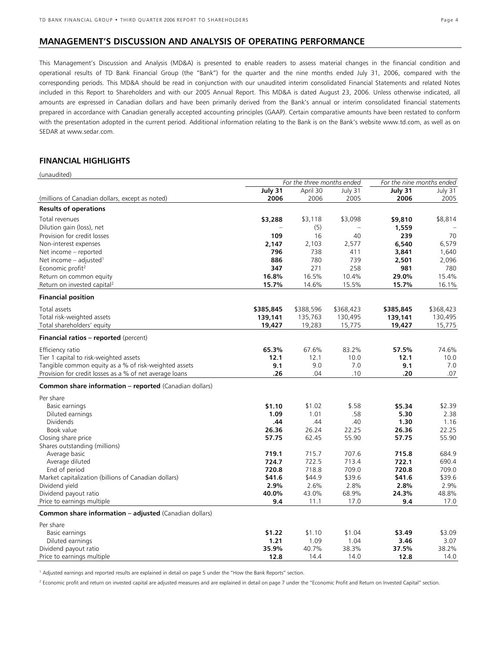# **MANAGEMENT'S DISCUSSION AND ANALYSIS OF OPERATING PERFORMANCE**

This Management's Discussion and Analysis (MD&A) is presented to enable readers to assess material changes in the financial condition and operational results of TD Bank Financial Group (the "Bank") for the quarter and the nine months ended July 31, 2006, compared with the corresponding periods. This MD&A should be read in conjunction with our unaudited interim consolidated Financial Statements and related Notes included in this Report to Shareholders and with our 2005 Annual Report. This MD&A is dated August 23, 2006. Unless otherwise indicated, all amounts are expressed in Canadian dollars and have been primarily derived from the Bank's annual or interim consolidated financial statements prepared in accordance with Canadian generally accepted accounting principles (GAAP). Certain comparative amounts have been restated to conform with the presentation adopted in the current period. Additional information relating to the Bank is on the Bank's website www.td.com, as well as on SEDAR at www.sedar.com.

# **FINANCIAL HIGHLIGHTS**

| (unaudited)                                             |                            |           |           |                           |           |  |
|---------------------------------------------------------|----------------------------|-----------|-----------|---------------------------|-----------|--|
|                                                         | For the three months ended |           |           | For the nine months ended |           |  |
|                                                         | July 31                    | April 30  | July 31   | July 31                   | July 31   |  |
| (millions of Canadian dollars, except as noted)         | 2006                       | 2006      | 2005      | 2006                      | 2005      |  |
| <b>Results of operations</b>                            |                            |           |           |                           |           |  |
| Total revenues                                          | \$3,288                    | \$3,118   | \$3,098   | \$9,810                   | \$8,814   |  |
| Dilution gain (loss), net                               |                            | (5)       |           | 1,559                     |           |  |
| Provision for credit losses                             | 109                        | 16        | 40        | 239                       | 70        |  |
| Non-interest expenses                                   | 2,147                      | 2,103     | 2,577     | 6,540                     | 6,579     |  |
| Net income - reported                                   | 796                        | 738       | 411       | 3,841                     | 1,640     |  |
| Net income $-$ adjusted <sup>1</sup>                    | 886                        | 780       | 739       | 2,501                     | 2,096     |  |
| Economic profit <sup>2</sup>                            | 347                        | 271       | 258       | 981                       | 780       |  |
| Return on common equity                                 | 16.8%                      | 16.5%     | 10.4%     | 29.0%                     | 15.4%     |  |
| Return on invested capital <sup>2</sup>                 | 15.7%                      | 14.6%     | 15.5%     | 15.7%                     | 16.1%     |  |
| <b>Financial position</b>                               |                            |           |           |                           |           |  |
|                                                         |                            |           |           |                           |           |  |
| Total assets                                            | \$385,845                  | \$388,596 | \$368,423 | \$385,845                 | \$368,423 |  |
| Total risk-weighted assets                              | 139,141                    | 135,763   | 130,495   | 139,141                   | 130,495   |  |
| Total shareholders' equity                              | 19,427                     | 19,283    | 15,775    | 19,427                    | 15,775    |  |
| <b>Financial ratios - reported</b> (percent)            |                            |           |           |                           |           |  |
| Efficiency ratio                                        | 65.3%                      | 67.6%     | 83.2%     | 57.5%                     | 74.6%     |  |
| Tier 1 capital to risk-weighted assets                  | 12.1                       | 12.1      | 10.0      | 12.1                      | 10.0      |  |
| Tangible common equity as a % of risk-weighted assets   | 9.1                        | 9.0       | 7.0       | 9.1                       | 7.0       |  |
| Provision for credit losses as a % of net average loans | .26                        | .04       | .10       | .20                       | .07       |  |
| Common share information - reported (Canadian dollars)  |                            |           |           |                           |           |  |
| Per share                                               |                            |           |           |                           |           |  |
| Basic earnings                                          | \$1.10                     | \$1.02    | \$.58     | \$5.34                    | \$2.39    |  |
| Diluted earnings                                        | 1.09                       | 1.01      | .58       | 5.30                      | 2.38      |  |
| <b>Dividends</b>                                        | .44                        | .44       | .40       | 1.30                      | 1.16      |  |
| Book value                                              | 26.36                      | 26.24     | 22.25     | 26.36                     | 22.25     |  |
| Closing share price                                     | 57.75                      | 62.45     | 55.90     | 57.75                     | 55.90     |  |
| Shares outstanding (millions)                           |                            |           |           |                           |           |  |
| Average basic                                           | 719.1                      | 715.7     | 707.6     | 715.8                     | 684.9     |  |
| Average diluted                                         | 724.7                      | 722.5     | 713.4     | 722.1                     | 690.4     |  |
| End of period                                           | 720.8                      | 718.8     | 709.0     | 720.8                     | 709.0     |  |
| Market capitalization (billions of Canadian dollars)    | \$41.6                     | \$44.9    | \$39.6    | \$41.6                    | \$39.6    |  |
| Dividend yield                                          | 2.9%                       | 2.6%      | 2.8%      | 2.8%                      | 2.9%      |  |
| Dividend payout ratio                                   | 40.0%                      | 43.0%     | 68.9%     | 24.3%                     | 48.8%     |  |
| Price to earnings multiple                              | 9.4                        | 11.1      | 17.0      | 9.4                       | 17.0      |  |
| Common share information - adjusted (Canadian dollars)  |                            |           |           |                           |           |  |
| Per share                                               |                            |           |           |                           |           |  |
| Basic earnings                                          | \$1.22                     | \$1.10    | \$1.04    | \$3.49                    | \$3.09    |  |
| Diluted earnings                                        | 1.21                       | 1.09      | 1.04      | 3.46                      | 3.07      |  |
| Dividend payout ratio                                   | 35.9%                      | 40.7%     | 38.3%     | 37.5%                     | 38.2%     |  |
| Price to earnings multiple                              | 12.8                       | 14.4      | 14.0      | 12.8                      | 14.0      |  |

1 Adjusted earnings and reported results are explained in detail on page 5 under the "How the Bank Reports" section.

<sup>2</sup> Economic profit and return on invested capital are adjusted measures and are explained in detail on page 7 under the "Economic Profit and Return on Invested Capital" section.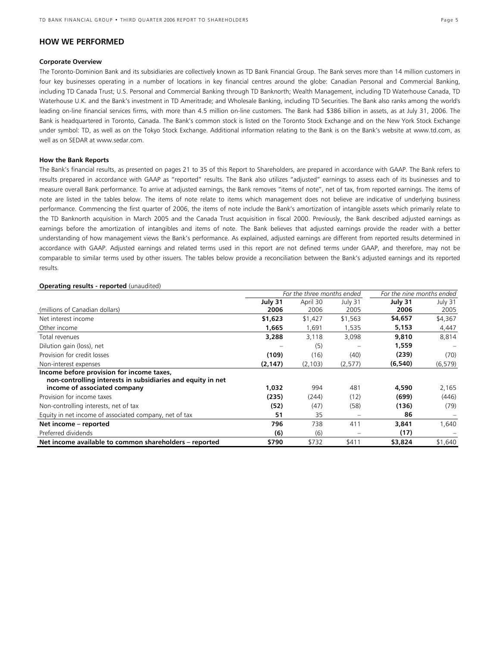# **HOW WE PERFORMED**

### **Corporate Overview**

The Toronto-Dominion Bank and its subsidiaries are collectively known as TD Bank Financial Group. The Bank serves more than 14 million customers in four key businesses operating in a number of locations in key financial centres around the globe: Canadian Personal and Commercial Banking, including TD Canada Trust; U.S. Personal and Commercial Banking through TD Banknorth; Wealth Management, including TD Waterhouse Canada, TD Waterhouse U.K. and the Bank's investment in TD Ameritrade; and Wholesale Banking, including TD Securities. The Bank also ranks among the world's leading on-line financial services firms, with more than 4.5 million on-line customers. The Bank had \$386 billion in assets, as at July 31, 2006. The Bank is headquartered in Toronto, Canada. The Bank's common stock is listed on the Toronto Stock Exchange and on the New York Stock Exchange under symbol: TD, as well as on the Tokyo Stock Exchange. Additional information relating to the Bank is on the Bank's website at www.td.com, as well as on SEDAR at www.sedar.com.

### **How the Bank Reports**

The Bank's financial results, as presented on pages 21 to 35 of this Report to Shareholders, are prepared in accordance with GAAP. The Bank refers to results prepared in accordance with GAAP as "reported" results. The Bank also utilizes "adjusted" earnings to assess each of its businesses and to measure overall Bank performance. To arrive at adjusted earnings, the Bank removes "items of note", net of tax, from reported earnings. The items of note are listed in the tables below. The items of note relate to items which management does not believe are indicative of underlying business performance. Commencing the first quarter of 2006, the items of note include the Bank's amortization of intangible assets which primarily relate to the TD Banknorth acquisition in March 2005 and the Canada Trust acquisition in fiscal 2000. Previously, the Bank described adjusted earnings as earnings before the amortization of intangibles and items of note. The Bank believes that adjusted earnings provide the reader with a better understanding of how management views the Bank's performance. As explained, adjusted earnings are different from reported results determined in accordance with GAAP. Adjusted earnings and related terms used in this report are not defined terms under GAAP, and therefore, may not be comparable to similar terms used by other issuers. The tables below provide a reconciliation between the Bank's adjusted earnings and its reported results.

### **Operating results - reported** (unaudited)

|                                                             | For the three months ended |          | For the nine months ended |          |          |
|-------------------------------------------------------------|----------------------------|----------|---------------------------|----------|----------|
|                                                             | July 31                    | April 30 | July 31                   | July 31  | July 31  |
| (millions of Canadian dollars)                              | 2006                       | 2006     | 2005                      | 2006     | 2005     |
| Net interest income                                         | \$1,623                    | \$1,427  | \$1,563                   | \$4,657  | \$4,367  |
| Other income                                                | 1,665                      | 1,691    | 1,535                     | 5,153    | 4,447    |
| Total revenues                                              | 3,288                      | 3,118    | 3,098                     | 9,810    | 8,814    |
| Dilution gain (loss), net                                   |                            | (5)      |                           | 1,559    |          |
| Provision for credit losses                                 | (109)                      | (16)     | (40)                      | (239)    | (70)     |
| Non-interest expenses                                       | (2, 147)                   | (2, 103) | (2, 577)                  | (6, 540) | (6, 579) |
| Income before provision for income taxes,                   |                            |          |                           |          |          |
| non-controlling interests in subsidiaries and equity in net |                            |          |                           |          |          |
| income of associated company                                | 1,032                      | 994      | 481                       | 4,590    | 2,165    |
| Provision for income taxes                                  | (235)                      | (244)    | (12)                      | (699)    | (446)    |
| Non-controlling interests, net of tax                       | (52)                       | (47)     | (58)                      | (136)    | (79)     |
| Equity in net income of associated company, net of tax      | 51                         | 35       |                           | 86       |          |
| Net income – reported                                       | 796                        | 738      | 411                       | 3,841    | 1,640    |
| Preferred dividends                                         | (6)                        | (6)      |                           | (17)     |          |
| Net income available to common shareholders - reported      | \$790                      | \$732    | \$411                     | \$3,824  | \$1,640  |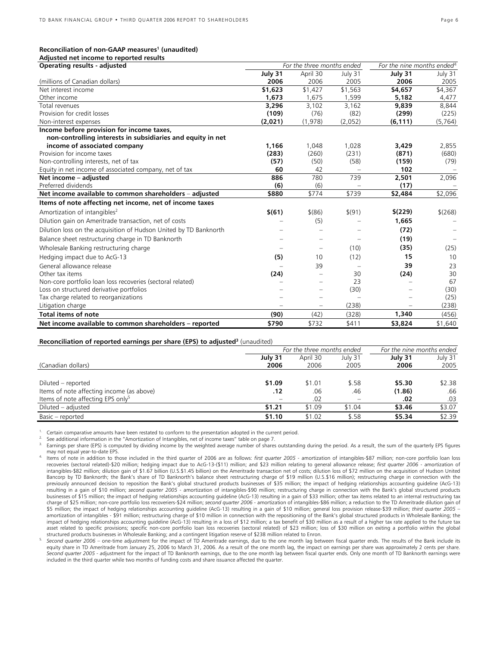# Reconciliation of non-GAAP measures<sup>1</sup> (unaudited)

| Adjusted net income to reported results |  |  |
|-----------------------------------------|--|--|

| Operating results - adjusted                                      | For the three months ended |                          |         |          |          | For the nine months ended <sup>4</sup> |  |
|-------------------------------------------------------------------|----------------------------|--------------------------|---------|----------|----------|----------------------------------------|--|
|                                                                   | July 31                    | April 30                 | July 31 | July 31  | July 31  |                                        |  |
| (millions of Canadian dollars)                                    | 2006                       | 2006                     | 2005    | 2006     | 2005     |                                        |  |
| Net interest income                                               | \$1,623                    | \$1,427                  | \$1,563 | \$4,657  | \$4,367  |                                        |  |
| Other income                                                      | 1,673                      | 1,675                    | 1,599   | 5,182    | 4,477    |                                        |  |
| Total revenues                                                    | 3,296                      | 3,102                    | 3,162   | 9,839    | 8,844    |                                        |  |
| Provision for credit losses                                       | (109)                      | (76)                     | (82)    | (299)    | (225)    |                                        |  |
| Non-interest expenses                                             | (2,021)                    | (1,978)                  | (2,052) | (6, 111) | (5, 764) |                                        |  |
| Income before provision for income taxes,                         |                            |                          |         |          |          |                                        |  |
| non-controlling interests in subsidiaries and equity in net       |                            |                          |         |          |          |                                        |  |
| income of associated company                                      | 1.166                      | 1,048                    | 1,028   | 3,429    | 2,855    |                                        |  |
| Provision for income taxes                                        | (283)                      | (260)                    | (231)   | (871)    | (680)    |                                        |  |
| Non-controlling interests, net of tax                             | (57)                       | (50)                     | (58)    | (159)    | (79)     |                                        |  |
| Equity in net income of associated company, net of tax            | 60                         | 42                       |         | 102      |          |                                        |  |
| Net income - adjusted                                             | 886                        | 780                      | 739     | 2,501    | 2,096    |                                        |  |
| Preferred dividends                                               | (6)                        | (6)                      |         | (17)     |          |                                        |  |
| Net income available to common shareholders - adjusted            | \$880                      | \$774                    | \$739   | \$2,484  | \$2,096  |                                        |  |
| Items of note affecting net income, net of income taxes           |                            |                          |         |          |          |                                        |  |
| Amortization of intangibles <sup>2</sup>                          | \$(61)                     | $$^{(86)}$               | \$(91)  | \$(229)  | \$(268)  |                                        |  |
| Dilution gain on Ameritrade transaction, net of costs             |                            | (5)                      |         | 1,665    |          |                                        |  |
| Dilution loss on the acquisition of Hudson United by TD Banknorth |                            |                          |         | (72)     |          |                                        |  |
| Balance sheet restructuring charge in TD Banknorth                |                            | $\qquad \qquad -$        |         | (19)     |          |                                        |  |
| Wholesale Banking restructuring charge                            |                            | $\qquad \qquad -$        | (10)    | (35)     | (25)     |                                        |  |
| Hedging impact due to AcG-13                                      | (5)                        | 10                       | (12)    | 15       | 10       |                                        |  |
| General allowance release                                         |                            | 39                       |         | 39       | 23       |                                        |  |
| Other tax items                                                   | (24)                       | $\qquad \qquad -$        | 30      | (24)     | 30       |                                        |  |
| Non-core portfolio loan loss recoveries (sectoral related)        |                            | $\qquad \qquad =$        | 23      |          | 67       |                                        |  |
| Loss on structured derivative portfolios                          |                            | $\overline{\phantom{0}}$ | (30)    |          | (30)     |                                        |  |
| Tax charge related to reorganizations                             |                            | -                        |         |          | (25)     |                                        |  |
| Litigation charge                                                 |                            | $\overline{\phantom{0}}$ | (238)   |          | (238)    |                                        |  |
| <b>Total items of note</b>                                        | (90)                       | (42)                     | (328)   | 1,340    | (456)    |                                        |  |
| Net income available to common shareholders - reported            | \$790                      | \$732                    | \$411   | \$3,824  | \$1,640  |                                        |  |

### **Reconciliation of reported earnings per share (EPS) to adjusted<sup>3</sup> (unaudited)**

|                                               |         | For the three months ended | For the nine months ended |         |         |
|-----------------------------------------------|---------|----------------------------|---------------------------|---------|---------|
|                                               | July 31 | April 30                   | July 31                   | July 31 | July 31 |
| (Canadian dollars)                            | 2006    | 2006                       | 2005                      | 2006    | 2005    |
|                                               |         |                            |                           |         |         |
| Diluted – reported                            | \$1.09  | \$1.01                     | \$.58                     | \$5.30  | \$2.38  |
| Items of note affecting income (as above)     | .12     | .06                        | .46                       | (1.86)  | .66     |
| Items of note affecting EPS only <sup>5</sup> |         | .02                        |                           | .02     | .03     |
| Diluted – adjusted                            | \$1.21  | \$1.09                     | \$1.04                    | \$3.46  | \$3.07  |
| Basic - reported                              | \$1.10  | \$1.02                     | \$.58                     | \$5.34  | \$2.39  |

Certain comparative amounts have been restated to conform to the presentation adopted in the current period.<br>See additional information in the "Amortization of Intangibles, net of income taxes" table on page 7.<br>Earnings pe may not equal year-to-date EPS.<br>Items of note in addition to those included in the third quarter of 2006 are as follows: *first quarter 2005* - amortization of intangibles-\$87 million; non-core portfolio loan loss

Second quarter 2006 - one-time adjustment for the impact of TD Ameritrade earnings, due to the one month lag between fiscal quarter ends. The results of the Bank include its equity share in TD Ameritrade from January 25, 2006 to March 31, 2006. As a result of the one month lag, the impact on earnings per share was approximately 2 cents per share. *Second quarter 2005 - a*djustment for the impact of TD Banknorth earnings, due to the one month lag between fiscal quarter ends. Only one month of TD Banknorth earnings were included in the third quarter while two months of funding costs and share issuance affected the quarter.

recoveries (sectoral related)-\$20 million; hedging impact due to AcG-13-(\$11) million; and \$23 million relating to general allowance release; *first quarter 2006* - amortization of intangibles-\$82 million; dilution gain of \$1.67 billion (U.S.\$1.45 billion) on the Ameritrade transaction net of costs; dilution loss of \$72 million on the acquisition of Hudson United Bancorp by TD Banknorth; the Bank's share of TD Banknorth's balance sheet restructuring charge of \$19 million (U.S.\$16 million); restructuring charge in connection with the previously announced decision to reposition the Bank's global structured products businesses of \$35 million; the impact of hedging relationships accounting guideline (AcG-13) resulting in a gain of \$10 million; *second quarter 2005* - amortization of intangibles-\$90 million; restructuring charge in connection with the Bank's global structured products businesses of \$15 million; the impact of hedging relationships accounting guideline (AcG-13) resulting in a gain of \$33 million; other tax items related to an internal restructuring tax charge of \$25 million; non-core portfolio loss recoveriers-\$24 million; *second quarter 2006* - amortization of intangibles-\$86 million; a reduction to the TD Ameritrade dilution gain of \$5 million; the impact of hedging relationships accounting guideline (AcG-13) resulting in a gain of \$10 million; general loss provision release-\$39 million; *third quarter 2005* – amortization of intangibles - \$91 million; restructuring charge of \$10 million in connection with the repositioning of the Bank's global structured products in Wholesale Banking; the impact of hedging relationships accounting guideline (AcG-13) resulting in a loss of \$12 million; a tax benefit of \$30 million as a result of a higher tax rate applied to the future tax asset related to specific provisions; specific non-core portfolio loan loss recoveries (sectoral related) of \$23 million; loss of \$30 million on exiting a portfolio within the global structured products businesses in Whole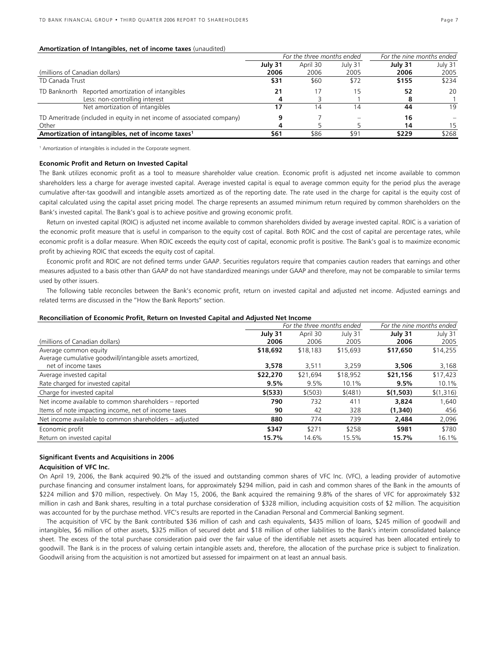### **Amortization of Intangibles, net of income taxes** (unaudited)

|                                                                        | For the three months ended |          |         | For the nine months ended |         |
|------------------------------------------------------------------------|----------------------------|----------|---------|---------------------------|---------|
|                                                                        | July 31                    | April 30 | July 31 | July 31                   | July 31 |
| (millions of Canadian dollars)                                         | 2006                       | 2006     | 2005    | 2006                      | 2005    |
| TD Canada Trust                                                        | \$31                       | \$60     | \$72    | \$155                     | \$234   |
| TD Banknorth Reported amortization of intangibles                      | 21                         | 17       | 5       | 52                        | 20      |
| Less: non-controlling interest                                         |                            |          |         | 8                         |         |
| Net amortization of intangibles                                        |                            | 14       | 4       | 44                        | 19      |
| TD Ameritrade (included in equity in net income of associated company) |                            |          |         | 16                        |         |
| Other                                                                  |                            |          |         | 14                        | 15      |
| Amortization of intangibles, net of income taxes <sup>1</sup>          | \$61                       | \$86     | \$91    | \$229                     | \$268   |
|                                                                        |                            |          |         |                           |         |

<sup>1</sup> Amortization of intangibles is included in the Corporate segment.

### **Economic Profit and Return on Invested Capital**

The Bank utilizes economic profit as a tool to measure shareholder value creation. Economic profit is adjusted net income available to common shareholders less a charge for average invested capital. Average invested capital is equal to average common equity for the period plus the average cumulative after-tax goodwill and intangible assets amortized as of the reporting date. The rate used in the charge for capital is the equity cost of capital calculated using the capital asset pricing model. The charge represents an assumed minimum return required by common shareholders on the Bank's invested capital. The Bank's goal is to achieve positive and growing economic profit.

Return on invested capital (ROIC) is adjusted net income available to common shareholders divided by average invested capital. ROIC is a variation of the economic profit measure that is useful in comparison to the equity cost of capital. Both ROIC and the cost of capital are percentage rates, while economic profit is a dollar measure. When ROIC exceeds the equity cost of capital, economic profit is positive. The Bank's goal is to maximize economic profit by achieving ROIC that exceeds the equity cost of capital.

Economic profit and ROIC are not defined terms under GAAP. Securities regulators require that companies caution readers that earnings and other measures adjusted to a basis other than GAAP do not have standardized meanings under GAAP and therefore, may not be comparable to similar terms used by other issuers.

The following table reconciles between the Bank's economic profit, return on invested capital and adjusted net income. Adjusted earnings and related terms are discussed in the "How the Bank Reports" section.

### **Reconciliation of Economic Profit, Return on Invested Capital and Adjusted Net Income**

|                                                          |          | For the three months ended |          | For the nine months ended |           |  |
|----------------------------------------------------------|----------|----------------------------|----------|---------------------------|-----------|--|
|                                                          | July 31  | April 30                   | July 31  | July 31                   | July 31   |  |
| (millions of Canadian dollars)                           | 2006     | 2006                       | 2005     | 2006                      | 2005      |  |
| Average common equity                                    | \$18,692 | \$18,183                   | \$15,693 | \$17,650                  | \$14,255  |  |
| Average cumulative goodwill/intangible assets amortized, |          |                            |          |                           |           |  |
| net of income taxes                                      | 3,578    | 3,511                      | 3,259    | 3,506                     | 3,168     |  |
| Average invested capital                                 | \$22,270 | \$21,694                   | \$18,952 | \$21,156                  | \$17,423  |  |
| Rate charged for invested capital                        | 9.5%     | 9.5%                       | 10.1%    | 9.5%                      | 10.1%     |  |
| Charge for invested capital                              | \$ (533) | \$ (503)                   | \$ (481) | \$(1,503)                 | \$(1,316) |  |
| Net income available to common shareholders - reported   | 790      | 732                        | 411      | 3,824                     | 1,640     |  |
| Items of note impacting income, net of income taxes      | 90       | 42                         | 328      | (1,340)                   | 456       |  |
| Net income available to common shareholders - adjusted   | 880      | 774                        | 739      | 2,484                     | 2,096     |  |
| Economic profit                                          | \$347    | \$271                      | \$258    | \$981                     | \$780     |  |
| Return on invested capital                               | 15.7%    | 14.6%                      | 15.5%    | 15.7%                     | 16.1%     |  |

### **Significant Events and Acquisitions in 2006**

### **Acquisition of VFC Inc.**

On April 19, 2006, the Bank acquired 90.2% of the issued and outstanding common shares of VFC Inc. (VFC), a leading provider of automotive purchase financing and consumer instalment loans, for approximately \$294 million, paid in cash and common shares of the Bank in the amounts of \$224 million and \$70 million, respectively. On May 15, 2006, the Bank acquired the remaining 9.8% of the shares of VFC for approximately \$32 million in cash and Bank shares, resulting in a total purchase consideration of \$328 million, including acquisition costs of \$2 million. The acquisition was accounted for by the purchase method. VFC's results are reported in the Canadian Personal and Commercial Banking segment.

The acquisition of VFC by the Bank contributed \$36 million of cash and cash equivalents, \$435 million of loans, \$245 million of goodwill and intangibles, \$6 million of other assets, \$325 million of secured debt and \$18 million of other liabilities to the Bank's interim consolidated balance sheet. The excess of the total purchase consideration paid over the fair value of the identifiable net assets acquired has been allocated entirely to goodwill. The Bank is in the process of valuing certain intangible assets and, therefore, the allocation of the purchase price is subject to finalization. Goodwill arising from the acquisition is not amortized but assessed for impairment on at least an annual basis.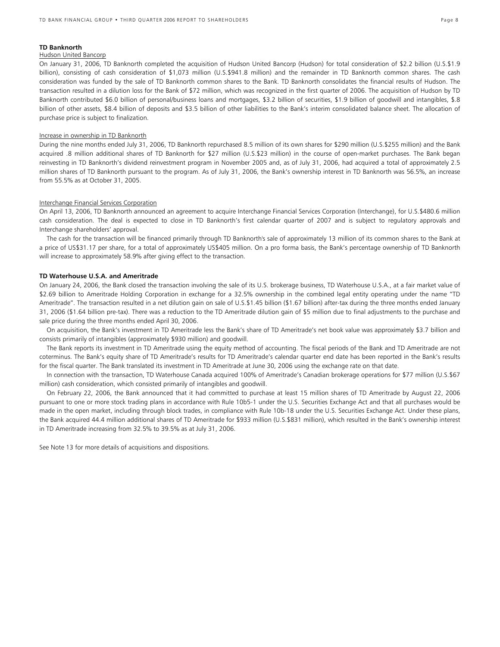### **TD Banknorth**

### Hudson United Bancorp

On January 31, 2006, TD Banknorth completed the acquisition of Hudson United Bancorp (Hudson) for total consideration of \$2.2 billion (U.S.\$1.9 billion), consisting of cash consideration of \$1,073 million (U.S.\$941.8 million) and the remainder in TD Banknorth common shares. The cash consideration was funded by the sale of TD Banknorth common shares to the Bank. TD Banknorth consolidates the financial results of Hudson. The transaction resulted in a dilution loss for the Bank of \$72 million, which was recognized in the first quarter of 2006. The acquisition of Hudson by TD Banknorth contributed \$6.0 billion of personal/business loans and mortgages, \$3.2 billion of securities, \$1.9 billion of goodwill and intangibles, \$.8 billion of other assets, \$8.4 billion of deposits and \$3.5 billion of other liabilities to the Bank's interim consolidated balance sheet. The allocation of purchase price is subject to finalization.

### Increase in ownership in TD Banknorth

During the nine months ended July 31, 2006, TD Banknorth repurchased 8.5 million of its own shares for \$290 million (U.S.\$255 million) and the Bank acquired .8 million additional shares of TD Banknorth for \$27 million (U.S.\$23 million) in the course of open-market purchases. The Bank began reinvesting in TD Banknorth's dividend reinvestment program in November 2005 and, as of July 31, 2006, had acquired a total of approximately 2.5 million shares of TD Banknorth pursuant to the program. As of July 31, 2006, the Bank's ownership interest in TD Banknorth was 56.5%, an increase from 55.5% as at October 31, 2005.

### Interchange Financial Services Corporation

On April 13, 2006, TD Banknorth announced an agreement to acquire Interchange Financial Services Corporation (Interchange), for U.S.\$480.6 million cash consideration. The deal is expected to close in TD Banknorth's first calendar quarter of 2007 and is subject to regulatory approvals and Interchange shareholders' approval.

The cash for the transaction will be financed primarily through TD Banknorth's sale of approximately 13 million of its common shares to the Bank at a price of US\$31.17 per share, for a total of approximately US\$405 million. On a pro forma basis, the Bank's percentage ownership of TD Banknorth will increase to approximately 58.9% after giving effect to the transaction.

### **TD Waterhouse U.S.A. and Ameritrade**

On January 24, 2006, the Bank closed the transaction involving the sale of its U.S. brokerage business, TD Waterhouse U.S.A., at a fair market value of \$2.69 billion to Ameritrade Holding Corporation in exchange for a 32.5% ownership in the combined legal entity operating under the name "TD Ameritrade". The transaction resulted in a net dilution gain on sale of U.S.\$1.45 billion (\$1.67 billion) after-tax during the three months ended January 31, 2006 (\$1.64 billion pre-tax). There was a reduction to the TD Ameritrade dilution gain of \$5 million due to final adjustments to the purchase and sale price during the three months ended April 30, 2006.

On acquisition, the Bank's investment in TD Ameritrade less the Bank's share of TD Ameritrade's net book value was approximately \$3.7 billion and consists primarily of intangibles (approximately \$930 million) and goodwill.

The Bank reports its investment in TD Ameritrade using the equity method of accounting. The fiscal periods of the Bank and TD Ameritrade are not coterminus. The Bank's equity share of TD Ameritrade's results for TD Ameritrade's calendar quarter end date has been reported in the Bank's results for the fiscal quarter. The Bank translated its investment in TD Ameritrade at June 30, 2006 using the exchange rate on that date.

In connection with the transaction, TD Waterhouse Canada acquired 100% of Ameritrade's Canadian brokerage operations for \$77 million (U.S.\$67 million) cash consideration, which consisted primarily of intangibles and goodwill.

On February 22, 2006, the Bank announced that it had committed to purchase at least 15 million shares of TD Ameritrade by August 22, 2006 pursuant to one or more stock trading plans in accordance with Rule 10b5-1 under the U.S. Securities Exchange Act and that all purchases would be made in the open market, including through block trades, in compliance with Rule 10b-18 under the U.S. Securities Exchange Act. Under these plans, the Bank acquired 44.4 million additional shares of TD Ameritrade for \$933 million (U.S.\$831 million), which resulted in the Bank's ownership interest in TD Ameritrade increasing from 32.5% to 39.5% as at July 31, 2006.

See Note 13 for more details of acquisitions and dispositions.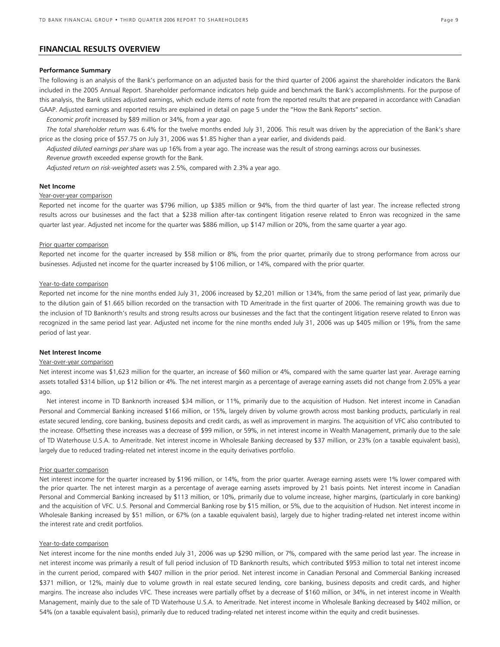# **FINANCIAL RESULTS OVERVIEW**

### **Performance Summary**

The following is an analysis of the Bank's performance on an adjusted basis for the third quarter of 2006 against the shareholder indicators the Bank included in the 2005 Annual Report. Shareholder performance indicators help guide and benchmark the Bank's accomplishments. For the purpose of this analysis, the Bank utilizes adjusted earnings, which exclude items of note from the reported results that are prepared in accordance with Canadian GAAP. Adjusted earnings and reported results are explained in detail on page 5 under the "How the Bank Reports" section.

*Economic profit* increased by \$89 million or 34%, from a year ago.

*The total shareholder return* was 6.4% for the twelve months ended July 31, 2006. This result was driven by the appreciation of the Bank's share price as the closing price of \$57.75 on July 31, 2006 was \$1.85 higher than a year earlier, and dividends paid.

*Adjusted diluted earnings per share* was up 16% from a year ago. The increase was the result of strong earnings across our businesses. *Revenue growth* exceeded expense growth for the Bank.

*Adjusted return on risk-weighted assets* was 2.5%, compared with 2.3% a year ago.

### **Net Income**

### Year-over-year comparison

Reported net income for the quarter was \$796 million, up \$385 million or 94%, from the third quarter of last year. The increase reflected strong results across our businesses and the fact that a \$238 million after-tax contingent litigation reserve related to Enron was recognized in the same quarter last year. Adjusted net income for the quarter was \$886 million, up \$147 million or 20%, from the same quarter a year ago.

### Prior quarter comparison

Reported net income for the quarter increased by \$58 million or 8%, from the prior quarter, primarily due to strong performance from across our businesses. Adjusted net income for the quarter increased by \$106 million, or 14%, compared with the prior quarter.

### Year-to-date comparison

Reported net income for the nine months ended July 31, 2006 increased by \$2,201 million or 134%, from the same period of last year, primarily due to the dilution gain of \$1.665 billion recorded on the transaction with TD Ameritrade in the first quarter of 2006. The remaining growth was due to the inclusion of TD Banknorth's results and strong results across our businesses and the fact that the contingent litigation reserve related to Enron was recognized in the same period last year. Adjusted net income for the nine months ended July 31, 2006 was up \$405 million or 19%, from the same period of last year.

### **Net Interest Income**

### Year-over-year comparison

Net interest income was \$1,623 million for the quarter, an increase of \$60 million or 4%, compared with the same quarter last year. Average earning assets totalled \$314 billion, up \$12 billion or 4%. The net interest margin as a percentage of average earning assets did not change from 2.05% a year ago.

Net interest income in TD Banknorth increased \$34 million, or 11%, primarily due to the acquisition of Hudson. Net interest income in Canadian Personal and Commercial Banking increased \$166 million, or 15%, largely driven by volume growth across most banking products, particularly in real estate secured lending, core banking, business deposits and credit cards, as well as improvement in margins. The acquisition of VFC also contributed to the increase. Offsetting these increases was a decrease of \$99 million, or 59%, in net interest income in Wealth Management, primarily due to the sale of TD Waterhouse U.S.A. to Ameritrade. Net interest income in Wholesale Banking decreased by \$37 million, or 23% (on a taxable equivalent basis), largely due to reduced trading-related net interest income in the equity derivatives portfolio.

### Prior quarter comparison

Net interest income for the quarter increased by \$196 million, or 14%, from the prior quarter. Average earning assets were 1% lower compared with the prior quarter. The net interest margin as a percentage of average earning assets improved by 21 basis points. Net interest income in Canadian Personal and Commercial Banking increased by \$113 million, or 10%, primarily due to volume increase, higher margins, (particularly in core banking) and the acquisition of VFC. U.S. Personal and Commercial Banking rose by \$15 million, or 5%, due to the acquisition of Hudson. Net interest income in Wholesale Banking increased by \$51 million, or 67% (on a taxable equivalent basis), largely due to higher trading-related net interest income within the interest rate and credit portfolios.

### Year-to-date comparison

Net interest income for the nine months ended July 31, 2006 was up \$290 million, or 7%, compared with the same period last year. The increase in net interest income was primarily a result of full period inclusion of TD Banknorth results, which contributed \$953 million to total net interest income in the current period, compared with \$407 million in the prior period. Net interest income in Canadian Personal and Commercial Banking increased \$371 million, or 12%, mainly due to volume growth in real estate secured lending, core banking, business deposits and credit cards, and higher margins. The increase also includes VFC. These increases were partially offset by a decrease of \$160 million, or 34%, in net interest income in Wealth Management, mainly due to the sale of TD Waterhouse U.S.A. to Ameritrade. Net interest income in Wholesale Banking decreased by \$402 million, or 54% (on a taxable equivalent basis), primarily due to reduced trading-related net interest income within the equity and credit businesses.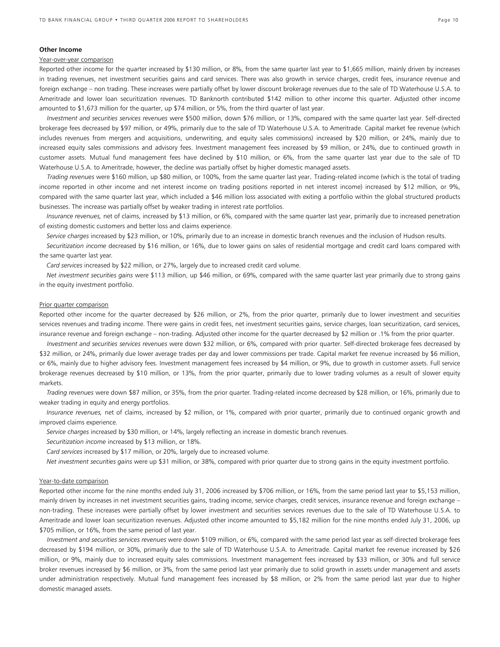### **Other Income**

### Year-over-year comparison

Reported other income for the quarter increased by \$130 million, or 8%, from the same quarter last year to \$1,665 million, mainly driven by increases in trading revenues, net investment securities gains and card services. There was also growth in service charges, credit fees, insurance revenue and foreign exchange – non trading. These increases were partially offset by lower discount brokerage revenues due to the sale of TD Waterhouse U.S.A. to Ameritrade and lower loan securitization revenues. TD Banknorth contributed \$142 million to other income this quarter. Adjusted other income amounted to \$1,673 million for the quarter, up \$74 million, or 5%, from the third quarter of last year.

*Investment and securities services revenues* were \$500 million, down \$76 million, or 13%, compared with the same quarter last year. Self-directed brokerage fees decreased by \$97 million, or 49%, primarily due to the sale of TD Waterhouse U.S.A. to Ameritrade. Capital market fee revenue (which includes revenues from mergers and acquisitions, underwriting, and equity sales commissions) increased by \$20 million, or 24%, mainly due to increased equity sales commissions and advisory fees. Investment management fees increased by \$9 million, or 24%, due to continued growth in customer assets. Mutual fund management fees have declined by \$10 million, or 6%, from the same quarter last year due to the sale of TD Waterhouse U.S.A. to Ameritrade, however, the decline was partially offset by higher domestic managed assets.

*Trading revenues* were \$160 million, up \$80 million, or 100%, from the same quarter last year. Trading-related income (which is the total of trading income reported in other income and net interest income on trading positions reported in net interest income) increased by \$12 million, or 9%, compared with the same quarter last year, which included a \$46 million loss associated with exiting a portfolio within the global structured products businesses. The increase was partially offset by weaker trading in interest rate portfolios.

*Insurance revenues,* net of claims, increased by \$13 million, or 6%, compared with the same quarter last year, primarily due to increased penetration of existing domestic customers and better loss and claims experience.

*Service charges* increased by \$23 million, or 10%, primarily due to an increase in domestic branch revenues and the inclusion of Hudson results.

*Securitization income* decreased by \$16 million, or 16%, due to lower gains on sales of residential mortgage and credit card loans compared with the same quarter last year.

*Card services* increased by \$22 million, or 27%, largely due to increased credit card volume.

*Net investment securities gains* were \$113 million, up \$46 million, or 69%, compared with the same quarter last year primarily due to strong gains in the equity investment portfolio.

### Prior quarter comparison

Reported other income for the quarter decreased by \$26 million, or 2%, from the prior quarter, primarily due to lower investment and securities services revenues and trading income. There were gains in credit fees, net investment securities gains, service charges, loan securitization, card services, insurance revenue and foreign exchange – non-trading. Adjusted other income for the quarter decreased by \$2 million or .1% from the prior quarter.

*Investment and securities services revenues* were down \$32 million, or 6%, compared with prior quarter. Self-directed brokerage fees decreased by \$32 million, or 24%, primarily due lower average trades per day and lower commissions per trade. Capital market fee revenue increased by \$6 million, or 6%, mainly due to higher advisory fees. Investment management fees increased by \$4 million, or 9%, due to growth in customer assets. Full service brokerage revenues decreased by \$10 million, or 13%, from the prior quarter, primarily due to lower trading volumes as a result of slower equity markets.

*Trading revenues* were down \$87 million, or 35%, from the prior quarter. Trading-related income decreased by \$28 million, or 16%, primarily due to weaker trading in equity and energy portfolios.

*Insurance revenues,* net of claims, increased by \$2 million, or 1%, compared with prior quarter, primarily due to continued organic growth and improved claims experience.

*Service charges* increased by \$30 million, or 14%, largely reflecting an increase in domestic branch revenues.

*Securitization income* increased by \$13 million, or 18%.

*Card services* increased by \$17 million, or 20%, largely due to increased volume.

*Net investment securities gains* were up \$31 million, or 38%, compared with prior quarter due to strong gains in the equity investment portfolio.

### Year-to-date comparison

Reported other income for the nine months ended July 31, 2006 increased by \$706 million, or 16%, from the same period last year to \$5,153 million, mainly driven by increases in net investment securities gains, trading income, service charges, credit services, insurance revenue and foreign exchange – non-trading. These increases were partially offset by lower investment and securities services revenues due to the sale of TD Waterhouse U.S.A. to Ameritrade and lower loan securitization revenues. Adjusted other income amounted to \$5,182 million for the nine months ended July 31, 2006, up \$705 million, or 16%, from the same period of last year.

*Investment and securities services revenues* were down \$109 million, or 6%, compared with the same period last year as self-directed brokerage fees decreased by \$194 million, or 30%, primarily due to the sale of TD Waterhouse U.S.A. to Ameritrade. Capital market fee revenue increased by \$26 million, or 9%, mainly due to increased equity sales commissions. Investment management fees increased by \$33 million, or 30% and full service broker revenues increased by \$6 million, or 3%, from the same period last year primarily due to solid growth in assets under management and assets under administration respectively. Mutual fund management fees increased by \$8 million, or 2% from the same period last year due to higher domestic managed assets.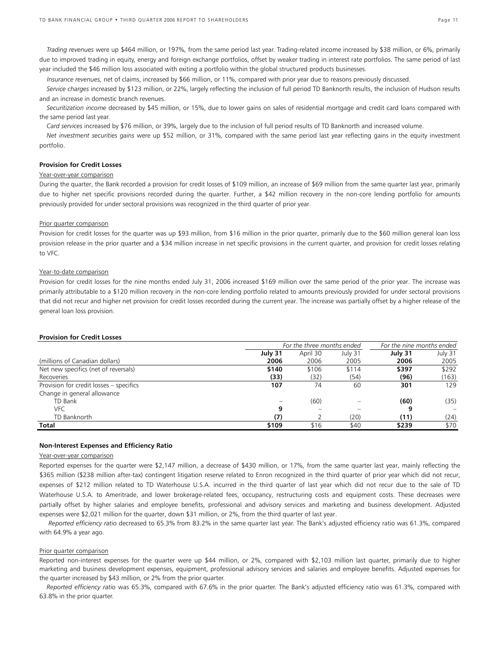*Trading revenues* were up \$464 million, or 197%, from the same period last year. Trading-related income increased by \$38 million, or 6%, primarily due to improved trading in equity, energy and foreign exchange portfolios, offset by weaker trading in interest rate portfolios. The same period of last year included the \$46 million loss associated with exiting a portfolio within the global structured products businesses.

*Insurance revenues,* net of claims, increased by \$66 million, or 11%, compared with prior year due to reasons previously discussed.

*Service charges* increased by \$123 million, or 22%, largely reflecting the inclusion of full period TD Banknorth results, the inclusion of Hudson results and an increase in domestic branch revenues.

*Securitization income* decreased by \$45 million, or 15%, due to lower gains on sales of residential mortgage and credit card loans compared with the same period last year.

*Card services* increased by \$76 million, or 39%, largely due to the inclusion of full period results of TD Banknorth and increased volume.

*Net investment securities gains* were up \$52 million, or 31%, compared with the same period last year reflecting gains in the equity investment portfolio.

# **Provision for Credit Losses**

### Year-over-year comparison

During the quarter, the Bank recorded a provision for credit losses of \$109 million, an increase of \$69 million from the same quarter last year, primarily due to higher net specific provisions recorded during the quarter. Further, a \$42 million recovery in the non-core lending portfolio for amounts previously provided for under sectoral provisions was recognized in the third quarter of prior year.

### Prior quarter comparison

Provision for credit losses for the quarter was up \$93 million, from \$16 million in the prior quarter, primarily due to the \$60 million general loan loss provision release in the prior quarter and a \$34 million increase in net specific provisions in the current quarter, and provision for credit losses relating to VFC.

# Year-to-date comparison

Provision for credit losses for the nine months ended July 31, 2006 increased \$169 million over the same period of the prior year. The increase was primarily attributable to a \$120 million recovery in the non-core lending portfolio related to amounts previously provided for under sectoral provisions that did not recur and higher net provision for credit losses recorded during the current year. The increase was partially offset by a higher release of the general loan loss provision.

### **Provision for Credit Losses**

|                                         |         | For the three months ended | For the nine months ended |         |         |
|-----------------------------------------|---------|----------------------------|---------------------------|---------|---------|
|                                         | July 31 | April 30                   | July 31                   | July 31 | July 31 |
| (millions of Canadian dollars)          | 2006    | 2006                       | 2005                      | 2006    | 2005    |
| Net new specifics (net of reversals)    | \$140   | \$106                      | \$114                     | \$397   | \$292   |
| Recoveries                              | (33)    | (32)                       | (54)                      | (96)    | (163)   |
| Provision for credit losses - specifics | 107     | 74                         | 60                        | 301     | 129     |
| Change in general allowance             |         |                            |                           |         |         |
| TD Bank                                 |         | (60)                       |                           | (60)    | (35)    |
| VFC                                     | 9       |                            |                           | 9       |         |
| TD Banknorth                            | (7)     |                            | (20)                      | (11)    | (24)    |
| Total                                   | \$109   | \$16                       | \$40                      | \$239   | \$70    |

### **Non-Interest Expenses and Efficiency Ratio**

### Year-over-year comparison

Reported expenses for the quarter were \$2,147 million, a decrease of \$430 million, or 17%, from the same quarter last year, mainly reflecting the \$365 million (\$238 million after-tax) contingent litigation reserve related to Enron recognized in the third quarter of prior year which did not recur, expenses of \$212 million related to TD Waterhouse U.S.A. incurred in the third quarter of last year which did not recur due to the sale of TD Waterhouse U.S.A. to Ameritrade, and lower brokerage-related fees, occupancy, restructuring costs and equipment costs. These decreases were partially offset by higher salaries and employee benefits, professional and advisory services and marketing and business development. Adjusted expenses were \$2,021 million for the quarter, down \$31 million, or 2%, from the third quarter of last year.

 *Reported efficiency ratio* decreased to 65.3% from 83.2% in the same quarter last year. The Bank's adjusted efficiency ratio was 61.3%, compared with 64.9% a year ago.

### Prior quarter comparison

Reported non-interest expenses for the quarter were up \$44 million, or 2%, compared with \$2,103 million last quarter, primarily due to higher marketing and business development expenses, equipment, professional advisory services and salaries and employee benefits. Adjusted expenses for the quarter increased by \$43 million, or 2% from the prior quarter.

*Reported efficiency ratio* was 65.3%, compared with 67.6% in the prior quarter. The Bank's adjusted efficiency ratio was 61.3%, compared with 63.8% in the prior quarter.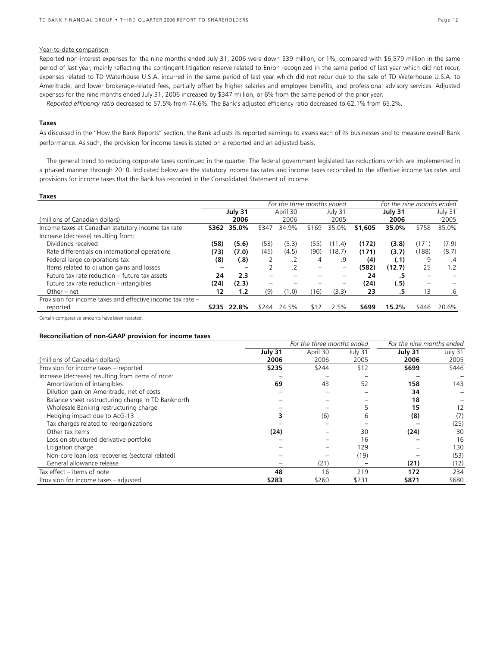### Year-to-date comparison

Reported non-interest expenses for the nine months ended July 31, 2006 were down \$39 million, or 1%, compared with \$6,579 million in the same period of last year, mainly reflecting the contingent litigation reserve related to Enron recognized in the same period of last year which did not recur, expenses related to TD Waterhouse U.S.A. incurred in the same period of last year which did not recur due to the sale of TD Waterhouse U.S.A. to Ameritrade, and lower brokerage-related fees, partially offset by higher salaries and employee benefits, and professional advisory services. Adjusted expenses for the nine months ended July 31, 2006 increased by \$347 million, or 6% from the same period of the prior year.

 *Reported efficiency ratio* decreased to 57.5% from 74.6%. The Bank's adjusted efficiency ratio decreased to 62.1% from 65.2%.

### **Taxes**

As discussed in the "How the Bank Reports" section, the Bank adjusts its reported earnings to assess each of its businesses and to measure overall Bank performance. As such, the provision for income taxes is stated on a reported and an adjusted basis.

 The general trend to reducing corporate taxes continued in the quarter. The federal government legislated tax reductions which are implemented in a phased manner through 2010. Indicated below are the statutory income tax rates and income taxes reconciled to the effective income tax rates and provisions for income taxes that the Bank has recorded in the Consolidated Statement of Income.

| <b>Taxes</b>                                               |       |             |                          |                            |                          |                          |         |                           |                          |         |
|------------------------------------------------------------|-------|-------------|--------------------------|----------------------------|--------------------------|--------------------------|---------|---------------------------|--------------------------|---------|
|                                                            |       |             |                          | For the three months ended |                          |                          |         | For the nine months ended |                          |         |
|                                                            |       | July 31     |                          | April 30                   |                          | July 31                  |         | July 31                   |                          | July 31 |
| (millions of Canadian dollars)                             |       | 2006        |                          | 2006                       |                          | 2005                     |         | 2006                      |                          | 2005    |
| Income taxes at Canadian statutory income tax rate         | \$362 | 35.0%       | \$347                    | 34.9%                      | \$169                    | 35.0%                    | \$1,605 | 35.0%                     | \$758                    | 35.0%   |
| Increase (decrease) resulting from:                        |       |             |                          |                            |                          |                          |         |                           |                          |         |
| Dividends received                                         | (58)  | (5.6)       | (53)                     | (5.3)                      | (55)                     | (11.4)                   | (172)   | (3.8)                     | (171)                    | (7.9)   |
| Rate differentials on international operations             | (73)  | (7.0)       | (45)                     | (4.5)                      | (90)                     | (18.7)                   | (171)   | (3.7)                     | (188)                    | (8.7)   |
| Federal large corporations tax                             | (8)   | (.8)        |                          |                            | 4                        | .9                       | (4)     | (.1)                      | 9                        | $\cdot$ |
| Items related to dilution gains and losses                 |       | -           |                          | $\cdot$ .2                 | $\overline{\phantom{0}}$ | $\qquad \qquad -$        | (582)   | (12.7)                    | 25                       | 1.2     |
| Future tax rate reduction - future tax assets              | 24    | 2.3         | $-$                      |                            |                          | $\overline{\phantom{0}}$ | 24      | .5                        | $\overline{\phantom{0}}$ |         |
| Future tax rate reduction - intangibles                    | (24)  | (2.3)       | $\overline{\phantom{0}}$ |                            |                          | $\qquad \qquad -$        | (24)    | (.5)                      | $\overline{\phantom{0}}$ |         |
| Other – net                                                | 12    | 1.2         | (9)                      | (1.0)                      | (16)                     | (3.3)                    | 23      | .5                        | 13                       | $.6\,$  |
| Provision for income taxes and effective income tax rate - |       |             |                          |                            |                          |                          |         |                           |                          |         |
| reported                                                   |       | \$235 22.8% | \$244                    | 24.5%                      | \$12                     | 2.5%                     | \$699   | 15.2%                     | \$446                    | 20.6%   |

Certain comparative amounts have been restated.

### **Reconciliation of non-GAAP provision for income taxes**

|                                                    |         | For the nine months ended |         |         |                   |
|----------------------------------------------------|---------|---------------------------|---------|---------|-------------------|
|                                                    | July 31 | April 30                  | July 31 | July 31 | July 31           |
| (millions of Canadian dollars)                     | 2006    | 2006                      | 2005    | 2006    | 2005              |
| Provision for income taxes - reported              | \$235   | \$244                     | \$12    | \$699   | \$446             |
| Increase (decrease) resulting from items of note:  |         |                           |         |         |                   |
| Amortization of intangibles                        | 69      | 43                        | 52      | 158     | 143               |
| Dilution gain on Ameritrade, net of costs          |         |                           |         | 34      |                   |
| Balance sheet restructuring charge in TD Banknorth |         |                           |         | 18      |                   |
| Wholesale Banking restructuring charge             |         |                           | 5       | 15      | $12 \overline{ }$ |
| Hedging impact due to AcG-13                       | 3       | (6)                       | 6       | (8)     | (7)               |
| Tax charges related to reorganizations             |         |                           |         |         | (25)              |
| Other tax items                                    | (24)    |                           | 30      | (24)    | 30                |
| Loss on structured derivative portfolio            |         |                           | 16      |         | 16                |
| Litigation charge                                  |         |                           | 129     |         | 130               |
| Non-core loan loss recoveries (sectoral related)   |         |                           | (19)    |         | (53)              |
| General allowance release                          |         | (21)                      |         | (21)    | (12)              |
| Tax effect - items of note                         | 48      | 16                        | 219     | 172     | 234               |
| Provision for income taxes - adjusted              | \$283   | \$260                     | \$231   | \$871   | \$680             |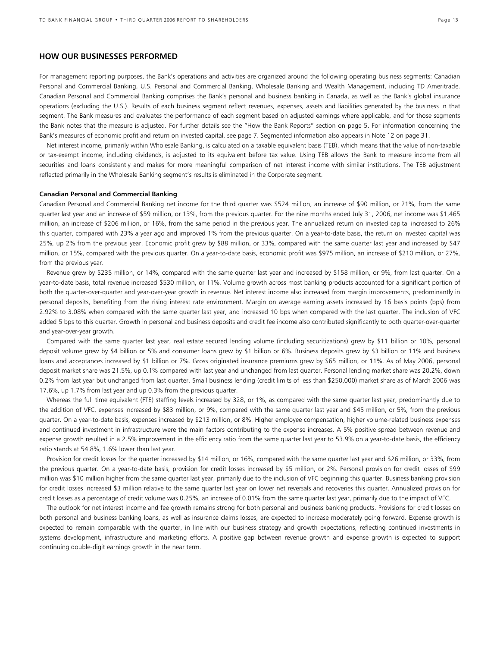# **HOW OUR BUSINESSES PERFORMED**

For management reporting purposes, the Bank's operations and activities are organized around the following operating business segments: Canadian Personal and Commercial Banking, U.S. Personal and Commercial Banking, Wholesale Banking and Wealth Management, including TD Ameritrade. Canadian Personal and Commercial Banking comprises the Bank's personal and business banking in Canada, as well as the Bank's global insurance operations (excluding the U.S.). Results of each business segment reflect revenues, expenses, assets and liabilities generated by the business in that segment. The Bank measures and evaluates the performance of each segment based on adjusted earnings where applicable, and for those segments the Bank notes that the measure is adjusted. For further details see the "How the Bank Reports" section on page 5. For information concerning the Bank's measures of economic profit and return on invested capital, see page 7. Segmented information also appears in Note 12 on page 31.

Net interest income, primarily within Wholesale Banking, is calculated on a taxable equivalent basis (TEB), which means that the value of non-taxable or tax-exempt income, including dividends, is adjusted to its equivalent before tax value. Using TEB allows the Bank to measure income from all securities and loans consistently and makes for more meaningful comparison of net interest income with similar institutions. The TEB adjustment reflected primarily in the Wholesale Banking segment's results is eliminated in the Corporate segment.

### **Canadian Personal and Commercial Banking**

Canadian Personal and Commercial Banking net income for the third quarter was \$524 million, an increase of \$90 million, or 21%, from the same quarter last year and an increase of \$59 million, or 13%, from the previous quarter. For the nine months ended July 31, 2006, net income was \$1,465 million, an increase of \$206 million, or 16%, from the same period in the previous year. The annualized return on invested capital increased to 26% this quarter, compared with 23% a year ago and improved 1% from the previous quarter. On a year-to-date basis, the return on invested capital was 25%, up 2% from the previous year. Economic profit grew by \$88 million, or 33%, compared with the same quarter last year and increased by \$47 million, or 15%, compared with the previous quarter. On a year-to-date basis, economic profit was \$975 million, an increase of \$210 million, or 27%, from the previous year.

Revenue grew by \$235 million, or 14%, compared with the same quarter last year and increased by \$158 million, or 9%, from last quarter. On a year-to-date basis, total revenue increased \$530 million, or 11%. Volume growth across most banking products accounted for a significant portion of both the quarter-over-quarter and year-over-year growth in revenue. Net interest income also increased from margin improvements, predominantly in personal deposits, benefiting from the rising interest rate environment. Margin on average earning assets increased by 16 basis points (bps) from 2.92% to 3.08% when compared with the same quarter last year, and increased 10 bps when compared with the last quarter. The inclusion of VFC added 5 bps to this quarter. Growth in personal and business deposits and credit fee income also contributed significantly to both quarter-over-quarter and year-over-year growth.

Compared with the same quarter last year, real estate secured lending volume (including securitizations) grew by \$11 billion or 10%, personal deposit volume grew by \$4 billion or 5% and consumer loans grew by \$1 billion or 6%. Business deposits grew by \$3 billion or 11% and business loans and acceptances increased by \$1 billion or 7%. Gross originated insurance premiums grew by \$65 million, or 11%. As of May 2006, personal deposit market share was 21.5%, up 0.1% compared with last year and unchanged from last quarter. Personal lending market share was 20.2%, down 0.2% from last year but unchanged from last quarter. Small business lending (credit limits of less than \$250,000) market share as of March 2006 was 17.6%, up 1.7% from last year and up 0.3% from the previous quarter.

Whereas the full time equivalent (FTE) staffing levels increased by 328, or 1%, as compared with the same quarter last year, predominantly due to the addition of VFC, expenses increased by \$83 million, or 9%, compared with the same quarter last year and \$45 million, or 5%, from the previous quarter. On a year-to-date basis, expenses increased by \$213 million, or 8%. Higher employee compensation, higher volume-related business expenses and continued investment in infrastructure were the main factors contributing to the expense increases. A 5% positive spread between revenue and expense growth resulted in a 2.5% improvement in the efficiency ratio from the same quarter last year to 53.9% on a year-to-date basis, the efficiency ratio stands at 54.8%, 1.6% lower than last year.

Provision for credit losses for the quarter increased by \$14 million, or 16%, compared with the same quarter last year and \$26 million, or 33%, from the previous quarter. On a year-to-date basis, provision for credit losses increased by \$5 million, or 2%. Personal provision for credit losses of \$99 million was \$10 million higher from the same quarter last year, primarily due to the inclusion of VFC beginning this quarter. Business banking provision for credit losses increased \$3 million relative to the same quarter last year on lower net reversals and recoveries this quarter. Annualized provision for credit losses as a percentage of credit volume was 0.25%, an increase of 0.01% from the same quarter last year, primarily due to the impact of VFC.

The outlook for net interest income and fee growth remains strong for both personal and business banking products. Provisions for credit losses on both personal and business banking loans, as well as insurance claims losses, are expected to increase moderately going forward. Expense growth is expected to remain comparable with the quarter, in line with our business strategy and growth expectations, reflecting continued investments in systems development, infrastructure and marketing efforts. A positive gap between revenue growth and expense growth is expected to support continuing double-digit earnings growth in the near term.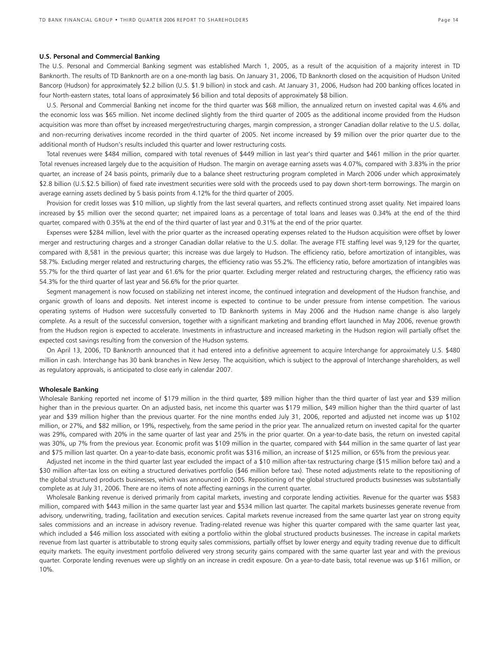### **U.S. Personal and Commercial Banking**

The U.S. Personal and Commercial Banking segment was established March 1, 2005, as a result of the acquisition of a majority interest in TD Banknorth. The results of TD Banknorth are on a one-month lag basis. On January 31, 2006, TD Banknorth closed on the acquisition of Hudson United Bancorp (Hudson) for approximately \$2.2 billion (U.S. \$1.9 billion) in stock and cash. At January 31, 2006, Hudson had 200 banking offices located in four North-eastern states, total loans of approximately \$6 billion and total deposits of approximately \$8 billion.

 U.S. Personal and Commercial Banking net income for the third quarter was \$68 million, the annualized return on invested capital was 4.6% and the economic loss was \$65 million. Net income declined slightly from the third quarter of 2005 as the additional income provided from the Hudson acquisition was more than offset by increased merger/restructuring charges, margin compression, a stronger Canadian dollar relative to the U.S. dollar, and non-recurring derivatives income recorded in the third quarter of 2005. Net income increased by \$9 million over the prior quarter due to the additional month of Hudson's results included this quarter and lower restructuring costs.

 Total revenues were \$484 million, compared with total revenues of \$449 million in last year's third quarter and \$461 million in the prior quarter. Total revenues increased largely due to the acquisition of Hudson. The margin on average earning assets was 4.07%, compared with 3.83% in the prior quarter, an increase of 24 basis points, primarily due to a balance sheet restructuring program completed in March 2006 under which approximately \$2.8 billion (U.S.\$2.5 billion) of fixed rate investment securities were sold with the proceeds used to pay down short-term borrowings. The margin on average earning assets declined by 5 basis points from 4.12% for the third quarter of 2005.

Provision for credit losses was \$10 million, up slightly from the last several quarters, and reflects continued strong asset quality. Net impaired loans increased by \$5 million over the second quarter; net impaired loans as a percentage of total loans and leases was 0.34% at the end of the third quarter, compared with 0.35% at the end of the third quarter of last year and 0.31% at the end of the prior quarter.

 Expenses were \$284 million, level with the prior quarter as the increased operating expenses related to the Hudson acquisition were offset by lower merger and restructuring charges and a stronger Canadian dollar relative to the U.S. dollar. The average FTE staffing level was 9,129 for the quarter, compared with 8,581 in the previous quarter; this increase was due largely to Hudson. The efficiency ratio, before amortization of intangibles, was 58.7%. Excluding merger related and restructuring charges, the efficiency ratio was 55.2%. The efficiency ratio, before amortization of intangibles was 55.7% for the third quarter of last year and 61.6% for the prior quarter. Excluding merger related and restructuring charges, the efficiency ratio was 54.3% for the third quarter of last year and 56.6% for the prior quarter.

 Segment management is now focused on stabilizing net interest income, the continued integration and development of the Hudson franchise, and organic growth of loans and deposits. Net interest income is expected to continue to be under pressure from intense competition. The various operating systems of Hudson were successfully converted to TD Banknorth systems in May 2006 and the Hudson name change is also largely complete. As a result of the successful conversion, together with a significant marketing and branding effort launched in May 2006, revenue growth from the Hudson region is expected to accelerate. Investments in infrastructure and increased marketing in the Hudson region will partially offset the expected cost savings resulting from the conversion of the Hudson systems.

 On April 13, 2006, TD Banknorth announced that it had entered into a definitive agreement to acquire Interchange for approximately U.S. \$480 million in cash. Interchange has 30 bank branches in New Jersey. The acquisition, which is subject to the approval of Interchange shareholders, as well as regulatory approvals, is anticipated to close early in calendar 2007.

### **Wholesale Banking**

Wholesale Banking reported net income of \$179 million in the third quarter, \$89 million higher than the third quarter of last year and \$39 million higher than in the previous quarter. On an adjusted basis, net income this quarter was \$179 million, \$49 million higher than the third quarter of last year and \$39 million higher than the previous quarter. For the nine months ended July 31, 2006, reported and adjusted net income was up \$102 million, or 27%, and \$82 million, or 19%, respectively, from the same period in the prior year. The annualized return on invested capital for the quarter was 29%, compared with 20% in the same quarter of last year and 25% in the prior quarter. On a year-to-date basis, the return on invested capital was 30%, up 7% from the previous year. Economic profit was \$109 million in the quarter, compared with \$44 million in the same quarter of last year and \$75 million last quarter. On a year-to-date basis, economic profit was \$316 million, an increase of \$125 million, or 65% from the previous year.

 Adjusted net income in the third quarter last year excluded the impact of a \$10 million after-tax restructuring charge (\$15 million before tax) and a \$30 million after-tax loss on exiting a structured derivatives portfolio (\$46 million before tax). These noted adjustments relate to the repositioning of the global structured products businesses, which was announced in 2005. Repositioning of the global structured products businesses was substantially complete as at July 31, 2006. There are no items of note affecting earnings in the current quarter.

 Wholesale Banking revenue is derived primarily from capital markets, investing and corporate lending activities. Revenue for the quarter was \$583 million, compared with \$443 million in the same quarter last year and \$534 million last quarter. The capital markets businesses generate revenue from advisory, underwriting, trading, facilitation and execution services. Capital markets revenue increased from the same quarter last year on strong equity sales commissions and an increase in advisory revenue. Trading-related revenue was higher this quarter compared with the same quarter last year, which included a \$46 million loss associated with exiting a portfolio within the global structured products businesses. The increase in capital markets revenue from last quarter is attributable to strong equity sales commissions, partially offset by lower energy and equity trading revenue due to difficult equity markets. The equity investment portfolio delivered very strong security gains compared with the same quarter last year and with the previous quarter. Corporate lending revenues were up slightly on an increase in credit exposure. On a year-to-date basis, total revenue was up \$161 million, or 10%.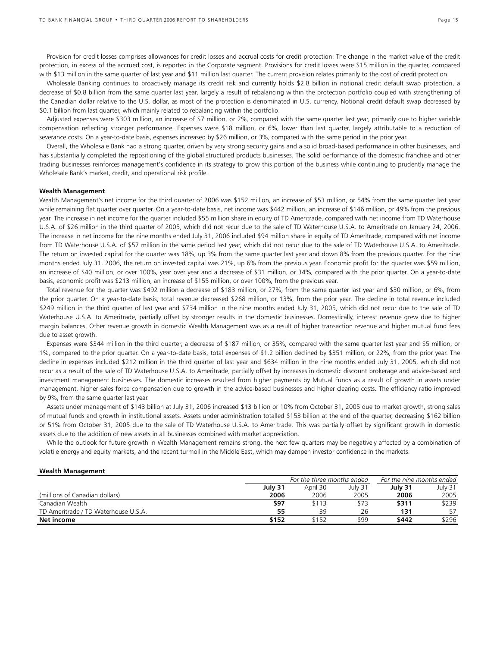Provision for credit losses comprises allowances for credit losses and accrual costs for credit protection. The change in the market value of the credit protection, in excess of the accrued cost, is reported in the Corporate segment. Provisions for credit losses were \$15 million in the quarter, compared with \$13 million in the same quarter of last year and \$11 million last quarter. The current provision relates primarily to the cost of credit protection.

 Wholesale Banking continues to proactively manage its credit risk and currently holds \$2.8 billion in notional credit default swap protection, a decrease of \$0.8 billion from the same quarter last year, largely a result of rebalancing within the protection portfolio coupled with strengthening of the Canadian dollar relative to the U.S. dollar, as most of the protection is denominated in U.S. currency. Notional credit default swap decreased by \$0.1 billion from last quarter, which mainly related to rebalancing within the portfolio.

 Adjusted expenses were \$303 million, an increase of \$7 million, or 2%, compared with the same quarter last year, primarily due to higher variable compensation reflecting stronger performance. Expenses were \$18 million, or 6%, lower than last quarter, largely attributable to a reduction of severance costs. On a year-to-date basis, expenses increased by \$26 million, or 3%, compared with the same period in the prior year.

 Overall, the Wholesale Bank had a strong quarter, driven by very strong security gains and a solid broad-based performance in other businesses, and has substantially completed the repositioning of the global structured products businesses. The solid performance of the domestic franchise and other trading businesses reinforces management's confidence in its strategy to grow this portion of the business while continuing to prudently manage the Wholesale Bank's market, credit, and operational risk profile.

### **Wealth Management**

**Wealth Management**

Wealth Management's net income for the third quarter of 2006 was \$152 million, an increase of \$53 million, or 54% from the same quarter last year while remaining flat quarter over quarter. On a year-to-date basis, net income was \$442 million, an increase of \$146 million, or 49% from the previous year. The increase in net income for the quarter included \$55 million share in equity of TD Ameritrade, compared with net income from TD Waterhouse U.S.A. of \$26 million in the third quarter of 2005, which did not recur due to the sale of TD Waterhouse U.S.A. to Ameritrade on January 24, 2006. The increase in net income for the nine months ended July 31, 2006 included \$94 million share in equity of TD Ameritrade, compared with net income from TD Waterhouse U.S.A. of \$57 million in the same period last year, which did not recur due to the sale of TD Waterhouse U.S.A. to Ameritrade. The return on invested capital for the quarter was 18%, up 3% from the same quarter last year and down 8% from the previous quarter. For the nine months ended July 31, 2006, the return on invested capital was 21%, up 6% from the previous year. Economic profit for the quarter was \$59 million, an increase of \$40 million, or over 100%, year over year and a decrease of \$31 million, or 34%, compared with the prior quarter. On a year-to-date basis, economic profit was \$213 million, an increase of \$155 million, or over 100%, from the previous year.

 Total revenue for the quarter was \$492 million a decrease of \$183 million, or 27%, from the same quarter last year and \$30 million, or 6%, from the prior quarter. On a year-to-date basis, total revenue decreased \$268 million, or 13%, from the prior year. The decline in total revenue included \$249 million in the third quarter of last year and \$734 million in the nine months ended July 31, 2005, which did not recur due to the sale of TD Waterhouse U.S.A. to Ameritrade, partially offset by stronger results in the domestic businesses. Domestically, interest revenue grew due to higher margin balances. Other revenue growth in domestic Wealth Management was as a result of higher transaction revenue and higher mutual fund fees due to asset growth.

 Expenses were \$344 million in the third quarter, a decrease of \$187 million, or 35%, compared with the same quarter last year and \$5 million, or 1%, compared to the prior quarter. On a year-to-date basis, total expenses of \$1.2 billion declined by \$351 million, or 22%, from the prior year. The decline in expenses included \$212 million in the third quarter of last year and \$634 million in the nine months ended July 31, 2005, which did not recur as a result of the sale of TD Waterhouse U.S.A. to Ameritrade, partially offset by increases in domestic discount brokerage and advice-based and investment management businesses. The domestic increases resulted from higher payments by Mutual Funds as a result of growth in assets under management, higher sales force compensation due to growth in the advice-based businesses and higher clearing costs. The efficiency ratio improved by 9%, from the same quarter last year.

 Assets under management of \$143 billion at July 31, 2006 increased \$13 billion or 10% from October 31, 2005 due to market growth, strong sales of mutual funds and growth in institutional assets. Assets under administration totalled \$153 billion at the end of the quarter, decreasing \$162 billion or 51% from October 31, 2005 due to the sale of TD Waterhouse U.S.A. to Ameritrade. This was partially offset by significant growth in domestic assets due to the addition of new assets in all businesses combined with market appreciation.

 While the outlook for future growth in Wealth Management remains strong, the next few quarters may be negatively affected by a combination of volatile energy and equity markets, and the recent turmoil in the Middle East, which may dampen investor confidence in the markets.

|         | For the nine months ended |         |                            |         |
|---------|---------------------------|---------|----------------------------|---------|
| July 31 | April 30                  | July 31 | July 31                    | July 31 |
| 2006    | 2006                      | 2005    | 2006                       | 2005    |
| \$97    | \$113                     | \$73    | \$311                      | \$239   |
| 55      | 39                        | 26      | 131                        | 57      |
| \$152   | \$152                     | \$99    | \$442                      | \$296   |
|         |                           |         | For the three months ended |         |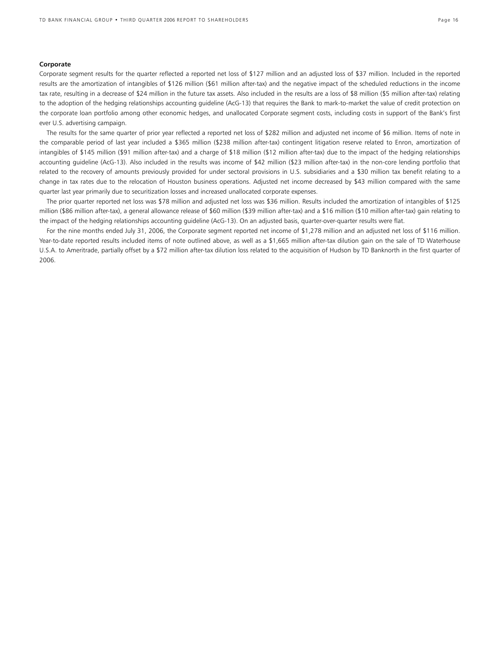### **Corporate**

Corporate segment results for the quarter reflected a reported net loss of \$127 million and an adjusted loss of \$37 million. Included in the reported results are the amortization of intangibles of \$126 million (\$61 million after-tax) and the negative impact of the scheduled reductions in the income tax rate, resulting in a decrease of \$24 million in the future tax assets. Also included in the results are a loss of \$8 million (\$5 million after-tax) relating to the adoption of the hedging relationships accounting guideline (AcG-13) that requires the Bank to mark-to-market the value of credit protection on the corporate loan portfolio among other economic hedges, and unallocated Corporate segment costs, including costs in support of the Bank's first ever U.S. advertising campaign.

 The results for the same quarter of prior year reflected a reported net loss of \$282 million and adjusted net income of \$6 million. Items of note in the comparable period of last year included a \$365 million (\$238 million after-tax) contingent litigation reserve related to Enron, amortization of intangibles of \$145 million (\$91 million after-tax) and a charge of \$18 million (\$12 million after-tax) due to the impact of the hedging relationships accounting guideline (AcG-13). Also included in the results was income of \$42 million (\$23 million after-tax) in the non-core lending portfolio that related to the recovery of amounts previously provided for under sectoral provisions in U.S. subsidiaries and a \$30 million tax benefit relating to a change in tax rates due to the relocation of Houston business operations. Adjusted net income decreased by \$43 million compared with the same quarter last year primarily due to securitization losses and increased unallocated corporate expenses.

 The prior quarter reported net loss was \$78 million and adjusted net loss was \$36 million. Results included the amortization of intangibles of \$125 million (\$86 million after-tax), a general allowance release of \$60 million (\$39 million after-tax) and a \$16 million (\$10 million after-tax) gain relating to the impact of the hedging relationships accounting guideline (AcG-13). On an adjusted basis, quarter-over-quarter results were flat.

 For the nine months ended July 31, 2006, the Corporate segment reported net income of \$1,278 million and an adjusted net loss of \$116 million. Year-to-date reported results included items of note outlined above, as well as a \$1,665 million after-tax dilution gain on the sale of TD Waterhouse U.S.A. to Ameritrade, partially offset by a \$72 million after-tax dilution loss related to the acquisition of Hudson by TD Banknorth in the first quarter of 2006.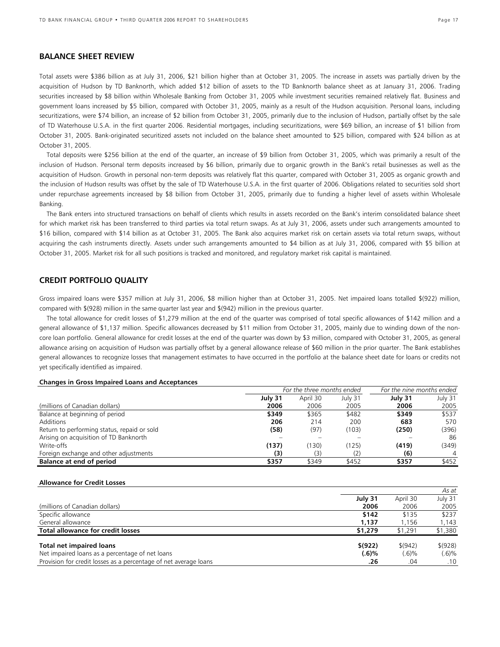# **BALANCE SHEET REVIEW**

Total assets were \$386 billion as at July 31, 2006, \$21 billion higher than at October 31, 2005. The increase in assets was partially driven by the acquisition of Hudson by TD Banknorth, which added \$12 billion of assets to the TD Banknorth balance sheet as at January 31, 2006. Trading securities increased by \$8 billion within Wholesale Banking from October 31, 2005 while investment securities remained relatively flat. Business and government loans increased by \$5 billion, compared with October 31, 2005, mainly as a result of the Hudson acquisition. Personal loans, including securitizations, were \$74 billion, an increase of \$2 billion from October 31, 2005, primarily due to the inclusion of Hudson, partially offset by the sale of TD Waterhouse U.S.A. in the first quarter 2006. Residential mortgages, including securitizations, were \$69 billion, an increase of \$1 billion from October 31, 2005. Bank-originated securitized assets not included on the balance sheet amounted to \$25 billion, compared with \$24 billion as at October 31, 2005.

Total deposits were \$256 billion at the end of the quarter, an increase of \$9 billion from October 31, 2005, which was primarily a result of the inclusion of Hudson. Personal term deposits increased by \$6 billion, primarily due to organic growth in the Bank's retail businesses as well as the acquisition of Hudson. Growth in personal non-term deposits was relatively flat this quarter, compared with October 31, 2005 as organic growth and the inclusion of Hudson results was offset by the sale of TD Waterhouse U.S.A. in the first quarter of 2006. Obligations related to securities sold short under repurchase agreements increased by \$8 billion from October 31, 2005, primarily due to funding a higher level of assets within Wholesale Banking.

The Bank enters into structured transactions on behalf of clients which results in assets recorded on the Bank's interim consolidated balance sheet for which market risk has been transferred to third parties via total return swaps. As at July 31, 2006, assets under such arrangements amounted to \$16 billion, compared with \$14 billion as at October 31, 2005. The Bank also acquires market risk on certain assets via total return swaps, without acquiring the cash instruments directly. Assets under such arrangements amounted to \$4 billion as at July 31, 2006, compared with \$5 billion at October 31, 2005. Market risk for all such positions is tracked and monitored, and regulatory market risk capital is maintained.

### **CREDIT PORTFOLIO QUALITY**

Gross impaired loans were \$357 million at July 31, 2006, \$8 million higher than at October 31, 2005. Net impaired loans totalled \$(922) million, compared with \$(928) million in the same quarter last year and \$(942) million in the previous quarter.

The total allowance for credit losses of \$1,279 million at the end of the quarter was comprised of total specific allowances of \$142 million and a general allowance of \$1,137 million. Specific allowances decreased by \$11 million from October 31, 2005, mainly due to winding down of the noncore loan portfolio. General allowance for credit losses at the end of the quarter was down by \$3 million, compared with October 31, 2005, as general allowance arising on acquisition of Hudson was partially offset by a general allowance release of \$60 million in the prior quarter. The Bank establishes general allowances to recognize losses that management estimates to have occurred in the portfolio at the balance sheet date for loans or credits not yet specifically identified as impaired.

### **Changes in Gross Impaired Loans and Acceptances**

|                                             | For the three months ended | For the nine months ended |         |         |         |
|---------------------------------------------|----------------------------|---------------------------|---------|---------|---------|
|                                             | July 31                    | April 30                  | July 31 | July 31 | July 31 |
| (millions of Canadian dollars)              | 2006                       | 2006                      | 2005    | 2006    | 2005    |
| Balance at beginning of period              | \$349                      | \$365                     | \$482   | \$349   | \$537   |
| Additions                                   | 206                        | 214                       | 200     | 683     | 570     |
| Return to performing status, repaid or sold | (58)                       | (97)                      | (103)   | (250)   | (396)   |
| Arising on acquisition of TD Banknorth      |                            |                           |         |         | 86      |
| Write-offs                                  | (137)                      | (130)                     | (125)   | (419)   | (349)   |
| Foreign exchange and other adjustments      | (3)                        | (3)                       |         | (6)     |         |
| Balance at end of period                    | \$357                      | \$349                     | \$452   | \$357   | \$452   |

### **Allowance for Credit Losses**

|                                                                  |         | As at    |           |  |  |  |  |  |
|------------------------------------------------------------------|---------|----------|-----------|--|--|--|--|--|
|                                                                  | July 31 | April 30 | July 31   |  |  |  |  |  |
| (millions of Canadian dollars)                                   | 2006    | 2006     | 2005      |  |  |  |  |  |
| Specific allowance                                               | \$142   | \$135    | \$237     |  |  |  |  |  |
| General allowance                                                | 1,137   | 1.156    | 1,143     |  |  |  |  |  |
| <b>Total allowance for credit losses</b>                         | \$1,279 | \$1,291  | \$1,380   |  |  |  |  |  |
| <b>Total net impaired loans</b>                                  | \$(922) | \$(942)  | \$ (928)  |  |  |  |  |  |
| Net impaired loans as a percentage of net loans                  | (.6)%   | (.6)%    | $(.6) \%$ |  |  |  |  |  |
| Provision for credit losses as a percentage of net average loans | .26     | .04      | .10       |  |  |  |  |  |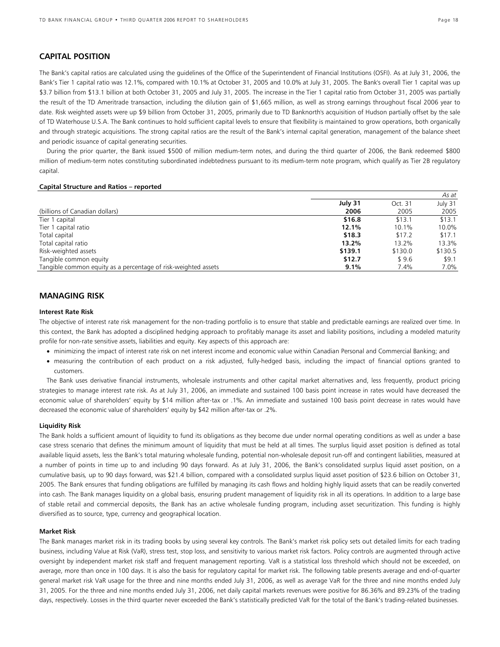# **CAPITAL POSITION**

The Bank's capital ratios are calculated using the guidelines of the Office of the Superintendent of Financial Institutions (OSFI). As at July 31, 2006, the Bank's Tier 1 capital ratio was 12.1%, compared with 10.1% at October 31, 2005 and 10.0% at July 31, 2005. The Bank's overall Tier 1 capital was up \$3.7 billion from \$13.1 billion at both October 31, 2005 and July 31, 2005. The increase in the Tier 1 capital ratio from October 31, 2005 was partially the result of the TD Ameritrade transaction, including the dilution gain of \$1,665 million, as well as strong earnings throughout fiscal 2006 year to date. Risk weighted assets were up \$9 billion from October 31, 2005, primarily due to TD Banknorth's acquisition of Hudson partially offset by the sale of TD Waterhouse U.S.A. The Bank continues to hold sufficient capital levels to ensure that flexibility is maintained to grow operations, both organically and through strategic acquisitions. The strong capital ratios are the result of the Bank's internal capital generation, management of the balance sheet and periodic issuance of capital generating securities.

During the prior quarter, the Bank issued \$500 of million medium-term notes, and during the third quarter of 2006, the Bank redeemed \$800 million of medium-term notes constituting subordinated indebtedness pursuant to its medium-term note program, which qualify as Tier 2B regulatory capital.

### **Capital Structure and Ratios – reported**

|                                                                |         |         | As at   |
|----------------------------------------------------------------|---------|---------|---------|
|                                                                | July 31 | Oct. 31 | July 31 |
| (billions of Canadian dollars)                                 | 2006    | 2005    | 2005    |
| Tier 1 capital                                                 | \$16.8  | \$13.1  | \$13.1  |
| Tier 1 capital ratio                                           | 12.1%   | 10.1%   | 10.0%   |
| Total capital                                                  | \$18.3  | \$17.2  | \$17.1  |
| Total capital ratio                                            | 13.2%   | 13.2%   | 13.3%   |
| Risk-weighted assets                                           | \$139.1 | \$130.0 | \$130.5 |
| Tangible common equity                                         | \$12.7  | \$9.6   | \$9.1   |
| Tangible common equity as a percentage of risk-weighted assets | 9.1%    | 7.4%    | 7.0%    |

# **MANAGING RISK**

### **Interest Rate Risk**

The objective of interest rate risk management for the non-trading portfolio is to ensure that stable and predictable earnings are realized over time. In this context, the Bank has adopted a disciplined hedging approach to profitably manage its asset and liability positions, including a modeled maturity profile for non-rate sensitive assets, liabilities and equity. Key aspects of this approach are:

- minimizing the impact of interest rate risk on net interest income and economic value within Canadian Personal and Commercial Banking; and
- measuring the contribution of each product on a risk adjusted, fully-hedged basis, including the impact of financial options granted to customers.

The Bank uses derivative financial instruments, wholesale instruments and other capital market alternatives and, less frequently, product pricing strategies to manage interest rate risk. As at July 31, 2006, an immediate and sustained 100 basis point increase in rates would have decreased the economic value of shareholders' equity by \$14 million after-tax or .1%. An immediate and sustained 100 basis point decrease in rates would have decreased the economic value of shareholders' equity by \$42 million after-tax or .2%.

### **Liquidity Risk**

The Bank holds a sufficient amount of liquidity to fund its obligations as they become due under normal operating conditions as well as under a base case stress scenario that defines the minimum amount of liquidity that must be held at all times. The surplus liquid asset position is defined as total available liquid assets, less the Bank's total maturing wholesale funding, potential non-wholesale deposit run-off and contingent liabilities, measured at a number of points in time up to and including 90 days forward. As at July 31, 2006, the Bank's consolidated surplus liquid asset position, on a cumulative basis*,* up to 90 days forward, was \$21.4 billion, compared with a consolidated surplus liquid asset position of \$23.6 billion on October 31, 2005. The Bank ensures that funding obligations are fulfilled by managing its cash flows and holding highly liquid assets that can be readily converted into cash. The Bank manages liquidity on a global basis, ensuring prudent management of liquidity risk in all its operations. In addition to a large base of stable retail and commercial deposits, the Bank has an active wholesale funding program, including asset securitization. This funding is highly diversified as to source, type, currency and geographical location.

### **Market Risk**

The Bank manages market risk in its trading books by using several key controls. The Bank's market risk policy sets out detailed limits for each trading business, including Value at Risk (VaR), stress test, stop loss, and sensitivity to various market risk factors. Policy controls are augmented through active oversight by independent market risk staff and frequent management reporting. VaR is a statistical loss threshold which should not be exceeded, on average, more than once in 100 days. It is also the basis for regulatory capital for market risk. The following table presents average and end-of-quarter general market risk VaR usage for the three and nine months ended July 31, 2006, as well as average VaR for the three and nine months ended July 31, 2005. For the three and nine months ended July 31, 2006, net daily capital markets revenues were positive for 86.36% and 89.23% of the trading days, respectively. Losses in the third quarter never exceeded the Bank's statistically predicted VaR for the total of the Bank's trading-related businesses.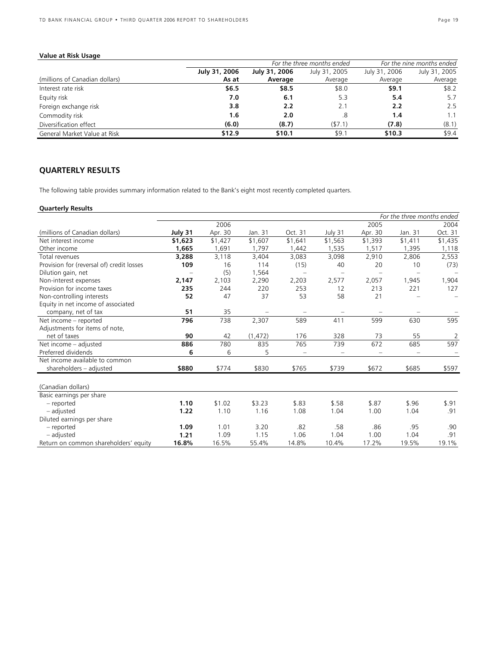# **Value at Risk Usage**

|                                |               |               | For the three months ended | For the nine months ended |               |  |  |
|--------------------------------|---------------|---------------|----------------------------|---------------------------|---------------|--|--|
|                                | July 31, 2006 | July 31, 2006 | July 31, 2005              | July 31, 2006             | July 31, 2005 |  |  |
| (millions of Canadian dollars) | As at         | Average       | Average                    | Average                   | Average       |  |  |
| Interest rate risk             | \$6.5         | \$8.5         | \$8.0                      | \$9.1                     | \$8.2         |  |  |
| Equity risk                    | 7.0           | 6.1           | 5.3                        | 5.4                       | 5.7           |  |  |
| Foreign exchange risk          | 3.8           | 2.2           | 2.1                        | 2.2                       | 2.5           |  |  |
| Commodity risk                 | 1.6           | 2.0           | .8                         | 1.4                       | 1.1           |  |  |
| Diversification effect         | (6.0)         | (8.7)         | (57.1)                     | (7.8)                     | (8.1)         |  |  |
| General Market Value at Risk   | \$12.9        | \$10.1        | \$9.1                      | \$10.3                    | \$9.4         |  |  |

# **QUARTERLY RESULTS**

The following table provides summary information related to the Bank's eight most recently completed quarters.

# **Quarterly Results**

| For the three months ended                |         |         |          |                          |         |         |         |         |
|-------------------------------------------|---------|---------|----------|--------------------------|---------|---------|---------|---------|
|                                           |         | 2006    |          |                          |         | 2005    |         | 2004    |
| (millions of Canadian dollars)            | July 31 | Apr. 30 | Jan. 31  | Oct. 31                  | July 31 | Apr. 30 | Jan. 31 | Oct. 31 |
| Net interest income                       | \$1,623 | \$1,427 | \$1,607  | \$1,641                  | \$1,563 | \$1,393 | \$1,411 | \$1,435 |
| Other income                              | 1,665   | 1,691   | 1,797    | 1,442                    | 1,535   | 1,517   | 1,395   | 1,118   |
| Total revenues                            | 3,288   | 3,118   | 3,404    | 3,083                    | 3,098   | 2,910   | 2,806   | 2,553   |
| Provision for (reversal of) credit losses | 109     | 16      | 114      | (15)                     | 40      | 20      | 10      | (73)    |
| Dilution gain, net                        |         | (5)     | 1,564    | $\overline{\phantom{0}}$ |         |         |         |         |
| Non-interest expenses                     | 2,147   | 2,103   | 2,290    | 2,203                    | 2,577   | 2,057   | 1,945   | 1,904   |
| Provision for income taxes                | 235     | 244     | 220      | 253                      | 12      | 213     | 221     | 127     |
| Non-controlling interests                 | 52      | 47      | 37       | 53                       | 58      | 21      |         |         |
| Equity in net income of associated        |         |         |          |                          |         |         |         |         |
| company, net of tax                       | 51      | 35      |          |                          |         |         |         |         |
| Net income - reported                     | 796     | 738     | 2,307    | 589                      | 411     | 599     | 630     | 595     |
| Adjustments for items of note,            |         |         |          |                          |         |         |         |         |
| net of taxes                              | 90      | 42      | (1, 472) | 176                      | 328     | 73      | 55      | 2       |
| Net income - adjusted                     | 886     | 780     | 835      | 765                      | 739     | 672     | 685     | 597     |
| Preferred dividends                       | 6       | 6       | 5        |                          |         |         |         |         |
| Net income available to common            |         |         |          |                          |         |         |         |         |
| shareholders - adjusted                   | \$880   | \$774   | \$830    | \$765                    | \$739   | \$672   | \$685   | \$597   |
| (Canadian dollars)                        |         |         |          |                          |         |         |         |         |
| Basic earnings per share                  |         |         |          |                          |         |         |         |         |
| - reported                                | 1.10    | \$1.02  | \$3.23   | \$.83                    | \$.58   | \$.87   | \$.96   | \$.91   |
|                                           | 1.22    | 1.10    |          | 1.08                     | 1.04    | 1.00    | 1.04    | .91     |
| - adjusted                                |         |         | 1.16     |                          |         |         |         |         |
| Diluted earnings per share                |         |         |          |                          |         |         |         |         |
| - reported                                | 1.09    | 1.01    | 3.20     | .82                      | .58     | .86     | .95     | .90     |
| - adjusted                                | 1.21    | 1.09    | 1.15     | 1.06                     | 1.04    | 1.00    | 1.04    | .91     |
| Return on common shareholders' equity     | 16.8%   | 16.5%   | 55.4%    | 14.8%                    | 10.4%   | 17.2%   | 19.5%   | 19.1%   |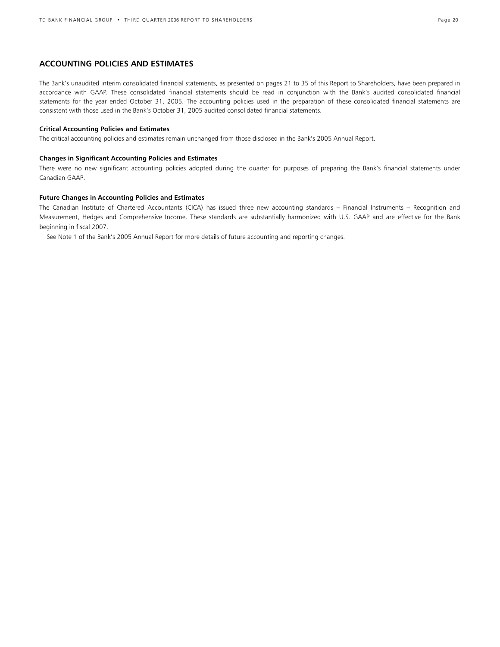# **ACCOUNTING POLICIES AND ESTIMATES**

The Bank's unaudited interim consolidated financial statements, as presented on pages 21 to 35 of this Report to Shareholders, have been prepared in accordance with GAAP. These consolidated financial statements should be read in conjunction with the Bank's audited consolidated financial statements for the year ended October 31, 2005. The accounting policies used in the preparation of these consolidated financial statements are consistent with those used in the Bank's October 31, 2005 audited consolidated financial statements.

### **Critical Accounting Policies and Estimates**

The critical accounting policies and estimates remain unchanged from those disclosed in the Bank's 2005 Annual Report.

### **Changes in Significant Accounting Policies and Estimates**

There were no new significant accounting policies adopted during the quarter for purposes of preparing the Bank's financial statements under Canadian GAAP.

### **Future Changes in Accounting Policies and Estimates**

The Canadian Institute of Chartered Accountants (CICA) has issued three new accounting standards – Financial Instruments – Recognition and Measurement, Hedges and Comprehensive Income. These standards are substantially harmonized with U.S. GAAP and are effective for the Bank beginning in fiscal 2007.

See Note 1 of the Bank's 2005 Annual Report for more details of future accounting and reporting changes.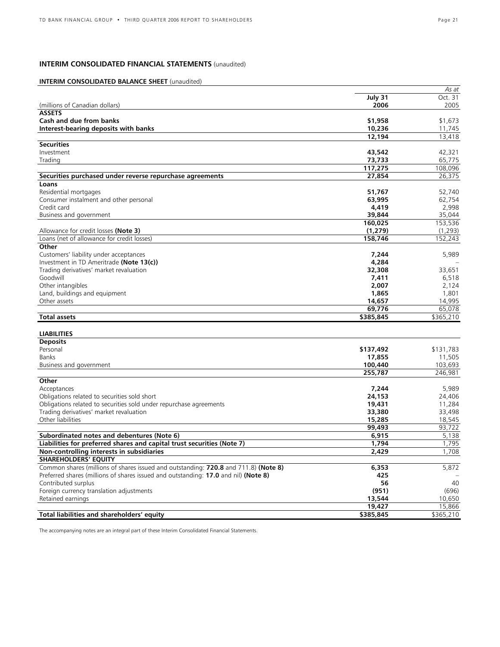# **INTERIM CONSOLIDATED FINANCIAL STATEMENTS** (unaudited)

# **INTERIM CONSOLIDATED BALANCE SHEET** (unaudited)

|                                                                                     |           | As at     |
|-------------------------------------------------------------------------------------|-----------|-----------|
|                                                                                     | July 31   | Oct. 31   |
| (millions of Canadian dollars)                                                      | 2006      | 2005      |
| <b>ASSETS</b>                                                                       |           |           |
| Cash and due from banks                                                             | \$1,958   | \$1,673   |
| Interest-bearing deposits with banks                                                | 10,236    | 11,745    |
|                                                                                     | 12,194    | 13,418    |
| <b>Securities</b>                                                                   |           |           |
| Investment                                                                          | 43,542    | 42,321    |
| Trading                                                                             | 73,733    | 65,775    |
|                                                                                     | 117,275   | 108,096   |
| Securities purchased under reverse repurchase agreements                            | 27,854    | 26,375    |
| Loans                                                                               |           |           |
| Residential mortgages                                                               | 51,767    | 52,740    |
| Consumer instalment and other personal                                              | 63,995    | 62,754    |
| Credit card                                                                         | 4,419     | 2,998     |
| Business and government                                                             | 39,844    | 35,044    |
|                                                                                     | 160,025   | 153,536   |
| Allowance for credit losses <b>(Note 3)</b>                                         | (1, 279)  | (1,293)   |
| Loans (net of allowance for credit losses)                                          | 158,746   | 152,243   |
| Other                                                                               |           |           |
| Customers' liability under acceptances                                              | 7,244     | 5,989     |
| Investment in TD Ameritrade (Note 13(c))                                            | 4,284     |           |
| Trading derivatives' market revaluation                                             | 32,308    | 33,651    |
| Goodwill                                                                            | 7,411     | 6,518     |
| Other intangibles                                                                   | 2,007     | 2,124     |
| Land, buildings and equipment                                                       | 1,865     | 1,801     |
| Other assets                                                                        | 14,657    | 14,995    |
|                                                                                     | 69,776    | 65,078    |
| <b>Total assets</b>                                                                 | \$385,845 | \$365,210 |
|                                                                                     |           |           |
| <b>LIABILITIES</b>                                                                  |           |           |
| <b>Deposits</b>                                                                     |           |           |
| Personal                                                                            | \$137,492 | \$131,783 |
| Banks                                                                               | 17,855    | 11,505    |
| Business and government                                                             | 100,440   | 103,693   |
|                                                                                     | 255,787   | 246,981   |
| Other                                                                               |           |           |
| Acceptances                                                                         | 7,244     | 5,989     |
| Obligations related to securities sold short                                        | 24,153    | 24,406    |
| Obligations related to securities sold under repurchase agreements                  | 19,431    | 11,284    |
| Trading derivatives' market revaluation                                             | 33,380    | 33,498    |
| Other liabilities                                                                   | 15,285    | 18,545    |
|                                                                                     | 99,493    | 93,722    |
| Subordinated notes and debentures (Note 6)                                          | 6,915     | 5,138     |
| Liabilities for preferred shares and capital trust securities (Note 7)              | 1,794     | 1,795     |
| Non-controlling interests in subsidiaries<br><b>SHAREHOLDERS' EQUITY</b>            | 2,429     | 1,708     |
| Common shares (millions of shares issued and outstanding: 720.8 and 711.8) (Note 8) | 6,353     | 5,872     |
| Preferred shares (millions of shares issued and outstanding: 17.0 and nil) (Note 8) | 425       |           |
| Contributed surplus                                                                 | 56        | 40        |
| Foreign currency translation adjustments                                            | (951)     | (696)     |
| Retained earnings                                                                   | 13,544    | 10,650    |
|                                                                                     | 19,427    | 15,866    |
| Total liabilities and shareholders' equity                                          | \$385,845 | \$365,210 |
|                                                                                     |           |           |

The accompanying notes are an integral part of these Interim Consolidated Financial Statements.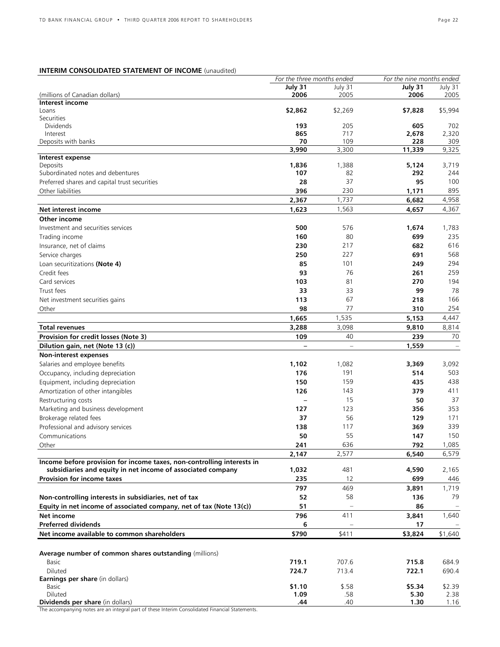# **INTERIM CONSOLIDATED STATEMENT OF INCOME** (unaudited)

|                                                                                                 | For the three months ended |          | For the nine months ended |                   |
|-------------------------------------------------------------------------------------------------|----------------------------|----------|---------------------------|-------------------|
|                                                                                                 | July 31                    | July 31  | July 31                   | July 31           |
| (millions of Canadian dollars)                                                                  | 2006                       | 2005     | 2006                      | 2005              |
| Interest income                                                                                 |                            |          |                           |                   |
| Loans                                                                                           | \$2,862                    | \$2,269  | \$7,828                   | \$5,994           |
| Securities                                                                                      |                            |          |                           |                   |
| <b>Dividends</b>                                                                                | 193                        | 205      | 605                       | 702               |
| Interest                                                                                        | 865                        | 717      | 2,678                     | 2,320             |
| Deposits with banks                                                                             | 70                         | 109      | 228                       | 309               |
|                                                                                                 | 3,990                      | 3,300    | 11,339                    | 9,325             |
| Interest expense<br>Deposits                                                                    | 1,836                      | 1,388    | 5,124                     | 3,719             |
| Subordinated notes and debentures                                                               | 107                        | 82       | 292                       | 244               |
| Preferred shares and capital trust securities                                                   | 28                         | 37       | 95                        | 100               |
|                                                                                                 |                            |          |                           |                   |
| Other liabilities                                                                               | 396                        | 230      | 1,171                     | 895               |
|                                                                                                 | 2,367                      | 1,737    | 6,682                     | 4,958             |
| Net interest income                                                                             | 1,623                      | 1,563    | 4,657                     | 4,367             |
| Other income                                                                                    |                            |          |                           |                   |
| Investment and securities services                                                              | 500                        | 576      | 1,674                     | 1,783             |
| Trading income                                                                                  | 160                        | 80       | 699                       | 235               |
| Insurance, net of claims                                                                        | 230                        | 217      | 682                       | 616               |
| Service charges                                                                                 | 250                        | 227      | 691                       | 568               |
| Loan securitizations (Note 4)                                                                   | 85                         | 101      | 249                       | 294               |
|                                                                                                 | 93                         |          |                           |                   |
| Credit fees                                                                                     |                            | 76       | 261                       | 259               |
| Card services                                                                                   | 103                        | 81       | 270                       | 194               |
| Trust fees                                                                                      | 33                         | 33       | 99                        | 78                |
| Net investment securities gains                                                                 | 113                        | 67       | 218                       | 166               |
| Other                                                                                           | 98                         | 77       | 310                       | 254               |
|                                                                                                 | 1,665                      | 1,535    | 5,153                     | 4,447             |
| <b>Total revenues</b>                                                                           | 3,288                      | 3,098    | 9,810                     | 8,814             |
| Provision for credit losses (Note 3)                                                            | 109                        | 40       | 239                       | 70                |
| Dilution gain, net (Note 13 (c))                                                                |                            |          | 1,559                     | $\qquad \qquad -$ |
| Non-interest expenses                                                                           |                            |          |                           |                   |
|                                                                                                 |                            |          |                           |                   |
| Salaries and employee benefits                                                                  | 1,102                      | 1,082    | 3,369                     | 3,092             |
| Occupancy, including depreciation                                                               | 176                        | 191      | 514                       | 503               |
| Equipment, including depreciation                                                               | 150                        | 159      | 435                       | 438               |
| Amortization of other intangibles                                                               | 126                        | 143      | 379                       | 411               |
| Restructuring costs                                                                             | $\overline{\phantom{0}}$   | 15       | 50                        | 37                |
| Marketing and business development                                                              | 127                        | 123      | 356                       | 353               |
| Brokerage related fees                                                                          | 37                         | 56       | 129                       | 171               |
| Professional and advisory services                                                              | 138                        | 117      | 369                       | 339               |
| Communications                                                                                  | 50                         | 55       | 147                       | 150               |
| Other                                                                                           | 241                        | 636      | 792                       | 1,085             |
|                                                                                                 | 2,147                      | 2,577    | 6.540                     | 6,579             |
| Income before provision for income taxes, non-controlling interests in                          |                            |          |                           |                   |
| subsidiaries and equity in net income of associated company                                     | 1,032                      | 481      | 4,590                     | 2,165             |
| <b>Provision for income taxes</b>                                                               | 235                        | 12       | 699                       | 446               |
|                                                                                                 |                            |          |                           |                   |
|                                                                                                 | 797                        | 469      | 3,891                     | 1,719             |
| Non-controlling interests in subsidiaries, net of tax                                           | 52                         | 58       | 136                       | 79                |
| Equity in net income of associated company, net of tax (Note 13(c))                             | 51                         | $\equiv$ | 86                        |                   |
| Net income                                                                                      | 796                        | 411      | 3,841                     | 1,640             |
| <b>Preferred dividends</b>                                                                      | 6                          |          | 17                        |                   |
| Net income available to common shareholders                                                     | \$790                      | \$411    | \$3,824                   | \$1,640           |
|                                                                                                 |                            |          |                           |                   |
| Average number of common shares outstanding (millions)                                          |                            |          |                           |                   |
| <b>Basic</b>                                                                                    | 719.1                      | 707.6    | 715.8                     | 684.9             |
|                                                                                                 |                            |          |                           |                   |
| Diluted                                                                                         | 724.7                      | 713.4    | 722.1                     | 690.4             |
| <b>Earnings per share</b> (in dollars)<br>Basic                                                 | \$1.10                     | \$.58    | \$5.34                    | \$2.39            |
| Diluted                                                                                         | 1.09                       | .58      | 5.30                      | 2.38              |
| Dividends per share (in dollars)                                                                | .44                        | .40      | 1.30                      | 1.16              |
| The accompanying notes are an integral part of these Interim Consolidated Financial Statements. |                            |          |                           |                   |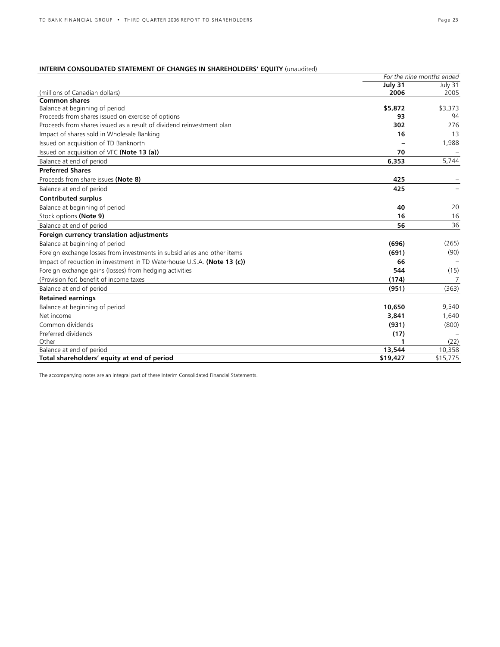# **INTERIM CONSOLIDATED STATEMENT OF CHANGES IN SHAREHOLDERS' EQUITY** (unaudited)

|                                                                          |          | For the nine months ended |
|--------------------------------------------------------------------------|----------|---------------------------|
|                                                                          | July 31  | July 31                   |
| (millions of Canadian dollars)                                           | 2006     | 2005                      |
| <b>Common shares</b>                                                     |          |                           |
| Balance at beginning of period                                           | \$5,872  | \$3,373                   |
| Proceeds from shares issued on exercise of options                       | 93       | 94                        |
| Proceeds from shares issued as a result of dividend reinvestment plan    | 302      | 276                       |
| Impact of shares sold in Wholesale Banking                               | 16       | 13                        |
| Issued on acquisition of TD Banknorth                                    |          | 1,988                     |
| Issued on acquisition of VFC (Note 13 (a))                               | 70       |                           |
| Balance at end of period                                                 | 6,353    | 5,744                     |
| <b>Preferred Shares</b>                                                  |          |                           |
| Proceeds from share issues (Note 8)                                      | 425      |                           |
| Balance at end of period                                                 | 425      |                           |
| <b>Contributed surplus</b>                                               |          |                           |
| Balance at beginning of period                                           | 40       | 20                        |
| Stock options (Note 9)                                                   | 16       | 16                        |
| Balance at end of period                                                 | 56       | 36                        |
| Foreign currency translation adjustments                                 |          |                           |
| Balance at beginning of period                                           | (696)    | (265)                     |
| Foreign exchange losses from investments in subsidiaries and other items | (691)    | (90)                      |
| Impact of reduction in investment in TD Waterhouse U.S.A. (Note 13 (c))  | 66       |                           |
| Foreign exchange gains (losses) from hedging activities                  | 544      | (15)                      |
| (Provision for) benefit of income taxes                                  | (174)    | $\overline{7}$            |
| Balance at end of period                                                 | (951)    | (363)                     |
| <b>Retained earnings</b>                                                 |          |                           |
| Balance at beginning of period                                           | 10,650   | 9,540                     |
| Net income                                                               | 3,841    | 1,640                     |
| Common dividends                                                         | (931)    | (800)                     |
| Preferred dividends                                                      | (17)     |                           |
| Other                                                                    |          | (22)                      |
| Balance at end of period                                                 | 13,544   | 10,358                    |
| Total shareholders' equity at end of period                              | \$19,427 | \$15,775                  |

The accompanying notes are an integral part of these Interim Consolidated Financial Statements.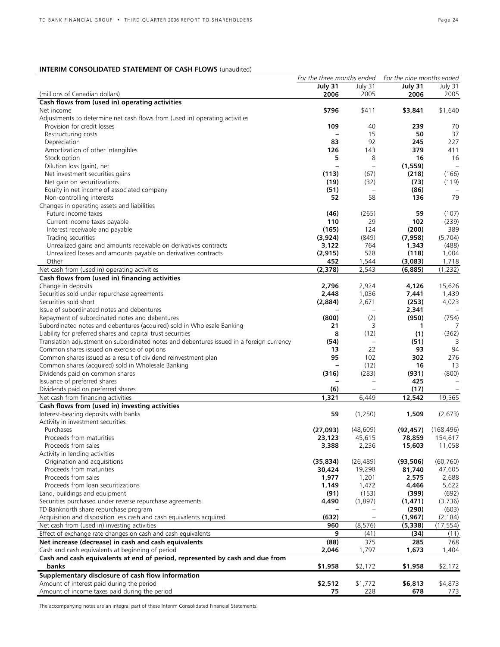# **INTERIM CONSOLIDATED STATEMENT OF CASH FLOWS** (unaudited)

|                                                                                          | For the three months ended |                          | For the nine months ended |                   |
|------------------------------------------------------------------------------------------|----------------------------|--------------------------|---------------------------|-------------------|
|                                                                                          | July 31                    | July 31                  | July 31                   | July 31           |
| (millions of Canadian dollars)                                                           | 2006                       | 2005                     | 2006                      | 2005              |
| Cash flows from (used in) operating activities                                           |                            |                          |                           |                   |
| Net income                                                                               | \$796                      | \$411                    | \$3,841                   | \$1,640           |
|                                                                                          |                            |                          |                           |                   |
| Adjustments to determine net cash flows from (used in) operating activities              |                            |                          |                           |                   |
| Provision for credit losses                                                              | 109                        | 40                       | 239                       | 70                |
| Restructuring costs                                                                      |                            | 15                       | 50                        | 37                |
| Depreciation                                                                             | 83                         | 92                       | 245                       | 227               |
| Amortization of other intangibles                                                        | 126                        | 143                      | 379                       | 411               |
| Stock option                                                                             | 5                          | 8                        | 16                        | 16                |
| Dilution loss (gain), net                                                                | $\overline{\phantom{0}}$   | $\equiv$                 | (1, 559)                  | $\qquad \qquad -$ |
|                                                                                          |                            |                          |                           |                   |
| Net investment securities gains                                                          | (113)                      | (67)                     | (218)                     | (166)             |
| Net gain on securitizations                                                              | (19)                       | (32)                     | (73)                      | (119)             |
| Equity in net income of associated company                                               | (51)                       |                          | (86)                      |                   |
| Non-controlling interests                                                                | 52                         | 58                       | 136                       | 79                |
| Changes in operating assets and liabilities                                              |                            |                          |                           |                   |
| Future income taxes                                                                      | (46)                       | (265)                    | 59                        | (107)             |
| Current income taxes payable                                                             | 110                        | 29                       | 102                       | (239)             |
|                                                                                          |                            |                          |                           |                   |
| Interest receivable and payable                                                          | (165)                      | 124                      | (200)                     | 389               |
| Trading securities                                                                       | (3,924)                    | (849)                    | (7, 958)                  | (5,704)           |
| Unrealized gains and amounts receivable on derivatives contracts                         | 3,122                      | 764                      | 1,343                     | (488)             |
| Unrealized losses and amounts payable on derivatives contracts                           | (2, 915)                   | 528                      | (118)                     | 1,004             |
| Other                                                                                    | 452                        | 1,544                    | (3,083)                   | 1,718             |
| Net cash from (used in) operating activities                                             | (2, 378)                   | 2,543                    | (6,885)                   | (1, 232)          |
|                                                                                          |                            |                          |                           |                   |
| Cash flows from (used in) financing activities                                           |                            |                          |                           |                   |
| Change in deposits                                                                       | 2,796                      | 2,924                    | 4,126                     | 15,626            |
| Securities sold under repurchase agreements                                              | 2,448                      | 1,036                    | 7,441                     | 1,439             |
| Securities sold short                                                                    | (2,884)                    | 2,671                    | (253)                     | 4,023             |
| Issue of subordinated notes and debentures                                               |                            |                          | 2,341                     |                   |
| Repayment of subordinated notes and debentures                                           | (800)                      | (2)                      | (950)                     | (754)             |
| Subordinated notes and debentures (acquired) sold in Wholesale Banking                   | 21                         | 3                        | 1                         | 7                 |
|                                                                                          | 8                          | (12)                     | (1)                       |                   |
| Liability for preferred shares and capital trust securities                              |                            |                          |                           | (362)             |
| Translation adjustment on subordinated notes and debentures issued in a foreign currency | (54)                       | $\equiv$                 | (51)                      | 3                 |
| Common shares issued on exercise of options                                              | 13                         | 22                       | 93                        | 94                |
| Common shares issued as a result of dividend reinvestment plan                           | 95                         | 102                      | 302                       | 276               |
| Common shares (acquired) sold in Wholesale Banking                                       | -                          | (12)                     | 16                        | 13                |
| Dividends paid on common shares                                                          | (316)                      | (283)                    | (931)                     | (800)             |
| Issuance of preferred shares                                                             |                            | $\overline{\phantom{m}}$ | 425                       |                   |
|                                                                                          |                            |                          |                           |                   |
| Dividends paid on preferred shares                                                       | (6)                        | $\overline{\phantom{m}}$ | (17)                      |                   |
| Net cash from financing activities                                                       | 1,321                      | 6,449                    | 12,542                    | 19,565            |
| Cash flows from (used in) investing activities                                           |                            |                          |                           |                   |
| Interest-bearing deposits with banks                                                     | 59                         | (1,250)                  | 1,509                     | (2,673)           |
| Activity in investment securities                                                        |                            |                          |                           |                   |
| Purchases                                                                                | (27,093)                   | (48, 609)                | (92, 457)                 | (168, 496)        |
| Proceeds from maturities                                                                 | 23,123                     | 45,615                   | 78,859                    | 154,617           |
|                                                                                          |                            |                          |                           |                   |
| Proceeds from sales                                                                      | 3,388                      | 2,236                    | 15,603                    | 11,058            |
| Activity in lending activities                                                           |                            |                          |                           |                   |
| Origination and acquisitions                                                             | (35, 834)                  | (26, 489)                | (93, 506)                 | (60, 760)         |
| Proceeds from maturities                                                                 | 30,424                     | 19,298                   | 81,740                    | 47,605            |
| Proceeds from sales                                                                      | 1,977                      | 1,201                    | 2,575                     | 2,688             |
| Proceeds from loan securitizations                                                       | 1,149                      | 1,472                    | 4,466                     | 5,622             |
| Land, buildings and equipment                                                            | (91)                       | (153)                    | (399)                     | (692)             |
|                                                                                          |                            |                          |                           |                   |
| Securities purchased under reverse repurchase agreements                                 | 4,490                      | (1,897)                  | (1, 471)                  | (3,736)           |
| TD Banknorth share repurchase program                                                    |                            |                          | (290)                     | (603)             |
| Acquisition and disposition less cash and cash equivalents acquired                      | (632)                      | $\equiv$                 | (1, 967)                  | (2, 184)          |
| Net cash from (used in) investing activities                                             | 960                        | (8, 576)                 | (5,338)                   | (17, 554)         |
| Effect of exchange rate changes on cash and cash equivalents                             | 9                          | (41)                     | (34)                      | (11)              |
| Net increase (decrease) in cash and cash equivalents                                     | (88)                       | 375                      | 285                       | 768               |
|                                                                                          |                            |                          |                           |                   |
| Cash and cash equivalents at beginning of period                                         | 2,046                      | 1,797                    | 1,673                     | 1,404             |
| Cash and cash equivalents at end of period, represented by cash and due from             |                            |                          |                           |                   |
| banks                                                                                    | \$1,958                    | \$2,172                  | \$1,958                   | \$2,172           |
| Supplementary disclosure of cash flow information                                        |                            |                          |                           |                   |
| Amount of interest paid during the period                                                | \$2,512                    | \$1,772                  | \$6,813                   | \$4,873           |
| Amount of income taxes paid during the period                                            | 75                         | 228                      | 678                       | 773               |
|                                                                                          |                            |                          |                           |                   |

The accompanying notes are an integral part of these Interim Consolidated Financial Statements.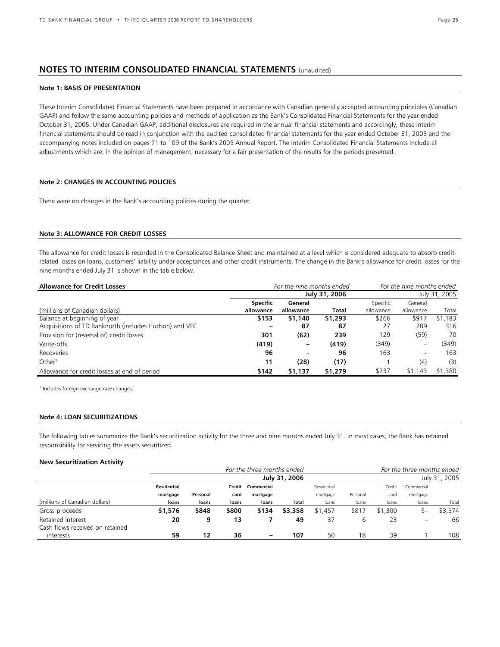# **NOTES TO INTERIM CONSOLIDATED FINANCIAL STATEMENTS** (unaudited)

### **Note 1: BASIS OF PRESENTATION**

These Interim Consolidated Financial Statements have been prepared in accordance with Canadian generally accepted accounting principles (Canadian GAAP) and follow the same accounting policies and methods of application as the Bank's Consolidated Financial Statements for the year ended October 31, 2005. Under Canadian GAAP, additional disclosures are required in the annual financial statements and accordingly, these interim financial statements should be read in conjunction with the audited consolidated financial statements for the year ended October 31, 2005 and the accompanying notes included on pages 71 to 109 of the Bank's 2005 Annual Report. The Interim Consolidated Financial Statements include all adjustments which are, in the opinion of management, necessary for a fair presentation of the results for the periods presented.

### **Note 2: CHANGES IN ACCOUNTING POLICIES**

There were no changes in the Bank's accounting policies during the quarter.

# **Note 3: ALLOWANCE FOR CREDIT LOSSES**

The allowance for credit losses is recorded in the Consolidated Balance Sheet and maintained at a level which is considered adequate to absorb creditrelated losses on loans, customers' liability under acceptances and other credit instruments. The change in the Bank's allowance for credit losses for the nine months ended July 31 is shown in the table below.

| <b>Allowance for Credit Losses</b>                     | For the nine months ended | For the nine months ended |               |           |                          |               |
|--------------------------------------------------------|---------------------------|---------------------------|---------------|-----------|--------------------------|---------------|
|                                                        |                           |                           | July 31, 2006 |           |                          | July 31, 2005 |
|                                                        | <b>Specific</b>           | General                   |               | Specific  | General                  |               |
| (millions of Canadian dollars)                         | allowance                 | allowance                 | <b>Total</b>  | allowance | allowance                | Total         |
| Balance at beginning of year                           | \$153                     | \$1,140                   | \$1,293       | \$266     | \$917                    | \$1,183       |
| Acquisitions of TD Banknorth (includes Hudson) and VFC |                           | -87                       | -87           | 27        | 289                      | 316           |
| Provision for (reversal of) credit losses              | 301                       | (62)                      | 239           | 129       | (59)                     | 70            |
| Write-offs                                             | (419)                     |                           | (419)         | (349)     |                          | (349)         |
| Recoveries                                             | 96                        | -                         | 96            | 163       | $\overline{\phantom{0}}$ | 163           |
| Other <sup>1</sup>                                     | 11                        | (28)                      | (17)          |           | (4)                      | (3)           |
| Allowance for credit losses at end of period           | \$142                     | \$1,137                   | \$1,279       | \$237     | \$1,143                  | \$1,380       |

1 Includes foreign exchange rate changes.

### **Note 4: LOAN SECURITIZATIONS**

The following tables summarize the Bank's securitization activity for the three and nine months ended July 31. In most cases, the Bank has retained responsibility for servicing the assets securitized.

### **New Securitization Activity**

|                                 |             | For the three months ended |       |                          |               |             |          |         |                          | For the three months ended |  |  |  |
|---------------------------------|-------------|----------------------------|-------|--------------------------|---------------|-------------|----------|---------|--------------------------|----------------------------|--|--|--|
|                                 |             |                            |       |                          | July 31, 2006 |             |          |         | July 31, 2005            |                            |  |  |  |
|                                 | Residential |                            |       | Credit Commercial        |               | Residential |          | Credit  | Commercial               |                            |  |  |  |
|                                 | mortgage    | Personal                   | card  | mortgage                 |               | mortgage    | Personal | card    | mortgage                 |                            |  |  |  |
| (millions of Canadian dollars)  | loans       | loans                      | loans | loans                    | Total         | loans       | loans    | loans   | loans                    | Total                      |  |  |  |
| Gross proceeds                  | \$1,576     | \$848                      | \$800 | \$134                    | \$3,358       | \$1,457     | \$817    | \$1,300 |                          | \$3,574                    |  |  |  |
| Retained interest               | 20          | 9                          | 13    |                          | 49            | 37          | b        | 23      | $\overline{\phantom{0}}$ | 66                         |  |  |  |
| Cash flows received on retained |             |                            |       |                          |               |             |          |         |                          |                            |  |  |  |
| interests                       | 59          | 12                         | 36    | $\overline{\phantom{0}}$ | 107           | 50          | 18       | 39      |                          | 108                        |  |  |  |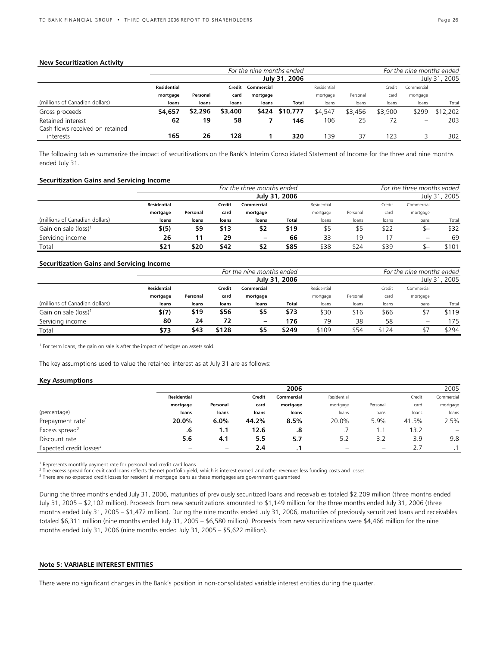### **New Securitization Activity**

|                                 |             | For the nine months ended |         |                   |               |             |          |         |            | For the nine months ended |
|---------------------------------|-------------|---------------------------|---------|-------------------|---------------|-------------|----------|---------|------------|---------------------------|
|                                 |             |                           |         |                   | July 31, 2006 |             |          |         |            | July 31, 2005             |
|                                 | Residential |                           |         | Credit Commercial |               | Residential |          | Credit  | Commercial |                           |
|                                 | mortgage    | Personal                  | card    | mortgage          |               | mortgage    | Personal | card    | mortgage   |                           |
| (millions of Canadian dollars)  | loans       | loans                     | loans   | loans             | Total         | loans       | loans    | loans   | loans      | Total                     |
| Gross proceeds                  | \$4,657     | \$2,296                   | \$3,400 | \$424             | \$10,777      | \$4,547     | \$3,456  | \$3,900 | \$299      | \$12,202                  |
| Retained interest               | 62          | 19                        | 58      |                   | 146           | 106         | 25       |         | -          | 203                       |
| Cash flows received on retained |             |                           |         |                   |               |             |          |         |            |                           |
| interests                       | 165         | 26                        | 128     |                   | 320           | 139         | 37       | 123     |            | 302                       |

The following tables summarize the impact of securitizations on the Bank's Interim Consolidated Statement of Income for the three and nine months ended July 31.

### **Securitization Gains and Servicing Income**

|                                  |                    | For the three months ended          |       |                 |               |          |          |       |          | For the three months ended |  |  |  |
|----------------------------------|--------------------|-------------------------------------|-------|-----------------|---------------|----------|----------|-------|----------|----------------------------|--|--|--|
|                                  |                    |                                     |       |                 | July 31, 2006 |          |          |       |          | July 31, 2005              |  |  |  |
|                                  | <b>Residential</b> | Credit<br>Residential<br>Commercial |       |                 |               |          |          |       |          |                            |  |  |  |
|                                  | mortgage           | Personal                            | card  | mortgage        |               | mortgage | Personal | card  | mortgage |                            |  |  |  |
| (millions of Canadian dollars)   | loans              | loans                               | loans | loans           | Total         | loans    | loans    | loans | loans    | Total                      |  |  |  |
| Gain on sale (loss) <sup>1</sup> | \$(5)              | \$9                                 | \$13  | \$2             | \$19          | \$5      | \$5      | \$22  | — ב      | \$32                       |  |  |  |
| Servicing income                 | 26                 | 11                                  | 29    | $\qquad \qquad$ | 66            | 33       | 19       |       | -        | 69                         |  |  |  |
| Total                            | \$21               | \$20                                | \$42  | \$2             | \$85          | \$38     | \$24     | \$39  |          | \$101                      |  |  |  |

### **Securitization Gains and Servicing Income**

|                                  |                    |          |        | For the nine months ended |               |             |          |        | For the nine months ended |               |
|----------------------------------|--------------------|----------|--------|---------------------------|---------------|-------------|----------|--------|---------------------------|---------------|
|                                  |                    |          |        |                           | July 31, 2006 |             |          |        |                           | July 31, 2005 |
|                                  | <b>Residential</b> |          | Credit | Commercial                |               | Residential |          | Credit | Commercial                |               |
|                                  | mortgage           | Personal | card   | mortgage                  |               | mortgage    | Personal | card   | mortgage                  |               |
| (millions of Canadian dollars)   | loans              | loans    | loans  | loans                     | Total         | loans       | loans    | loans  | loans                     | Total         |
| Gain on sale (loss) <sup>1</sup> | \$(7)              | \$19     | \$56   | \$5                       | \$73          | \$30        | \$16     | \$66   |                           | \$119         |
| Servicing income                 | 80                 | 24       | 72     | $\overline{\phantom{0}}$  | 176           | 79          | 38       | 58     |                           | 175           |
| Total                            | \$73               | \$43     | \$128  | 55                        | \$249         | \$109       | \$54     | \$124  |                           | \$294         |

<sup>1</sup> For term loans, the gain on sale is after the impact of hedges on assets sold.

The key assumptions used to value the retained interest as at July 31 are as follows:

### **Key Assumptions**

|                                     |                    |          |        | 2006       |             |          |        | 2005                     |
|-------------------------------------|--------------------|----------|--------|------------|-------------|----------|--------|--------------------------|
|                                     | <b>Residential</b> |          | Credit | Commercial | Residential |          | Credit | Commercial               |
|                                     | mortgage           | Personal | card   | mortgage   | mortgage    | Personal | card   | mortgage                 |
| (percentage)                        | loans              | loans    | loans  | loans      | loans       | loans    | loans  | loans                    |
| Prepayment rate <sup>1</sup>        | 20.0%              | 6.0%     | 44.2%  | 8.5%       | 20.0%       | 5.9%     | 41.5%  | 2.5%                     |
| Excess spread <sup>2</sup>          | .6                 | 1.1      | 12.6   | .8         | . .         | . .      | 13.2   | $\overline{\phantom{0}}$ |
| Discount rate                       | 5.6                | 4.1      | 5.5    | 5.7        | 5.2         | 3.2      | 3.9    | 9.8                      |
| Expected credit losses <sup>3</sup> |                    | -        | 2.4    |            |             | -        | 2.7    |                          |

<sup>1</sup> Represents monthly payment rate for personal and credit card loans.

 $^2$  The excess spread for credit card loans reflects the net portfolio yield, which is interest earned and other revenues less funding costs and losses.<br><sup>3</sup> There are no expected credit lesses for residential mertaage lo

<sup>3</sup> There are no expected credit losses for residential mortgage loans as these mortgages are government guaranteed.

During the three months ended July 31, 2006, maturities of previously securitized loans and receivables totaled \$2,209 million (three months ended July 31, 2005 – \$2,102 million). Proceeds from new securitizations amounted to \$1,149 million for the three months ended July 31, 2006 (three months ended July 31, 2005 – \$1,472 million). During the nine months ended July 31, 2006, maturities of previously securitized loans and receivables totaled \$6,311 million (nine months ended July 31, 2005 – \$6,580 million). Proceeds from new securitizations were \$4,466 million for the nine months ended July 31, 2006 (nine months ended July 31, 2005 – \$5,622 million).

### **Note 5: VARIABLE INTEREST ENTITIES**

There were no significant changes in the Bank's position in non-consolidated variable interest entities during the quarter.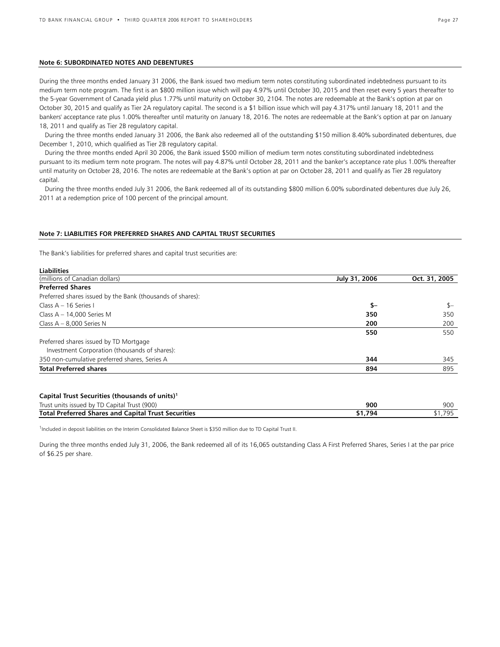### **Note 6: SUBORDINATED NOTES AND DEBENTURES**

During the three months ended January 31 2006, the Bank issued two medium term notes constituting subordinated indebtedness pursuant to its medium term note program. The first is an \$800 million issue which will pay 4.97% until October 30, 2015 and then reset every 5 years thereafter to the 5-year Government of Canada yield plus 1.77% until maturity on October 30, 2104. The notes are redeemable at the Bank's option at par on October 30, 2015 and qualify as Tier 2A regulatory capital. The second is a \$1 billion issue which will pay 4.317% until January 18, 2011 and the bankers' acceptance rate plus 1.00% thereafter until maturity on January 18, 2016. The notes are redeemable at the Bank's option at par on January 18, 2011 and qualify as Tier 2B regulatory capital.

 During the three months ended January 31 2006, the Bank also redeemed all of the outstanding \$150 million 8.40% subordinated debentures, due December 1, 2010, which qualified as Tier 2B regulatory capital.

 During the three months ended April 30 2006, the Bank issued \$500 million of medium term notes constituting subordinated indebtedness pursuant to its medium term note program. The notes will pay 4.87% until October 28, 2011 and the banker's acceptance rate plus 1.00% thereafter until maturity on October 28, 2016. The notes are redeemable at the Bank's option at par on October 28, 2011 and qualify as Tier 2B regulatory capital.

 During the three months ended July 31 2006, the Bank redeemed all of its outstanding \$800 million 6.00% subordinated debentures due July 26, 2011 at a redemption price of 100 percent of the principal amount.

### **Note 7: LIABILITIES FOR PREFERRED SHARES AND CAPITAL TRUST SECURITIES**

The Bank's liabilities for preferred shares and capital trust securities are:

**Liabilities** 

| Liabilities                                                |               |               |
|------------------------------------------------------------|---------------|---------------|
| (millions of Canadian dollars)                             | July 31, 2006 | Oct. 31, 2005 |
| <b>Preferred Shares</b>                                    |               |               |
| Preferred shares issued by the Bank (thousands of shares): |               |               |
| Class A - 16 Series I                                      | \$-           | $s-$          |
| Class $A - 14,000$ Series M                                | 350           | 350           |
| Class $A - 8,000$ Series N                                 | 200           | 200           |
|                                                            | 550           | 550           |
| Preferred shares issued by TD Mortgage                     |               |               |
| Investment Corporation (thousands of shares):              |               |               |
| 350 non-cumulative preferred shares, Series A              | 344           | 345           |
| <b>Total Preferred shares</b>                              | 894           | 895           |
| Capital Trust Securities (thousands of units) <sup>1</sup> |               |               |
| Trust units issued by TD Capital Trust (900)               | 900           | 900           |
| <b>Total Preferred Shares and Capital Trust Securities</b> | \$1,794       | \$1,795       |

<sup>1</sup>Included in deposit liabilities on the Interim Consolidated Balance Sheet is \$350 million due to TD Capital Trust II.

During the three months ended July 31, 2006, the Bank redeemed all of its 16,065 outstanding Class A First Preferred Shares, Series I at the par price of \$6.25 per share.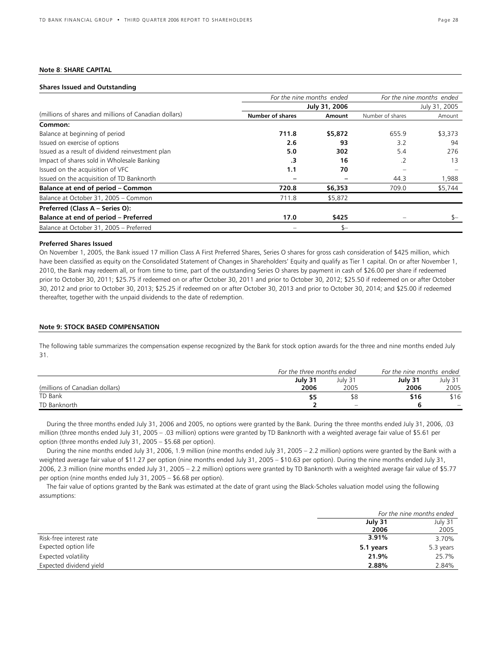# **Note 8**: **SHARE CAPITAL**

### **Shares Issued and Outstanding**

|                                                       | For the nine months ended |               | For the nine months ended |               |  |  |
|-------------------------------------------------------|---------------------------|---------------|---------------------------|---------------|--|--|
|                                                       |                           | July 31, 2006 |                           | July 31, 2005 |  |  |
| (millions of shares and millions of Canadian dollars) | <b>Number of shares</b>   | Amount        | Number of shares          | Amount        |  |  |
| Common:                                               |                           |               |                           |               |  |  |
| Balance at beginning of period                        | 711.8                     | \$5,872       | 655.9                     | \$3,373       |  |  |
| Issued on exercise of options                         | 2.6                       | 93            | 3.2                       | 94            |  |  |
| Issued as a result of dividend reinvestment plan      | 5.0                       | 302           | 5.4                       | 276           |  |  |
| Impact of shares sold in Wholesale Banking            | .3                        | 16            | .2                        | 13            |  |  |
| Issued on the acquisition of VFC                      | 1.1                       | 70            |                           |               |  |  |
| Issued on the acquisition of TD Banknorth             |                           |               | 44.3                      | 1,988         |  |  |
| Balance at end of period - Common                     | 720.8                     | \$6,353       | 709.0                     | \$5,744       |  |  |
| Balance at October 31, 2005 - Common                  | 711.8                     | \$5,872       |                           |               |  |  |
| Preferred (Class A - Series O):                       |                           |               |                           |               |  |  |
| Balance at end of period - Preferred                  | 17.0                      | \$425         |                           |               |  |  |
| Balance at October 31, 2005 - Preferred               |                           | $S-$          |                           |               |  |  |

### **Preferred Shares Issued**

On November 1, 2005, the Bank issued 17 million Class A First Preferred Shares, Series O shares for gross cash consideration of \$425 million, which have been classified as equity on the Consolidated Statement of Changes in Shareholders' Equity and qualify as Tier 1 capital. On or after November 1, 2010, the Bank may redeem all, or from time to time, part of the outstanding Series O shares by payment in cash of \$26.00 per share if redeemed prior to October 30, 2011; \$25.75 if redeemed on or after October 30, 2011 and prior to October 30, 2012; \$25.50 if redeemed on or after October 30, 2012 and prior to October 30, 2013; \$25.25 if redeemed on or after October 30, 2013 and prior to October 30, 2014; and \$25.00 if redeemed thereafter, together with the unpaid dividends to the date of redemption.

### **Note 9: STOCK BASED COMPENSATION**

The following table summarizes the compensation expense recognized by the Bank for stock option awards for the three and nine months ended July 31.

|                                | For the three months ended |                                | For the nine months ended |                   |  |
|--------------------------------|----------------------------|--------------------------------|---------------------------|-------------------|--|
|                                | July 31                    | July 31                        | July 31                   | July 31           |  |
| (millions of Canadian dollars) | 2006                       | 2005                           | 2006                      | 2005              |  |
| TD Bank                        | \$5                        | ୬୪                             | \$16                      | \$16              |  |
| TD Banknorth                   |                            | $\qquad \qquad \longleftarrow$ |                           | $\qquad \qquad =$ |  |

During the three months ended July 31, 2006 and 2005, no options were granted by the Bank. During the three months ended July 31, 2006, .03 million (three months ended July 31, 2005 – .03 million) options were granted by TD Banknorth with a weighted average fair value of \$5.61 per option (three months ended July 31, 2005 – \$5.68 per option).

During the nine months ended July 31, 2006, 1.9 million (nine months ended July 31, 2005 – 2.2 million) options were granted by the Bank with a weighted average fair value of \$11.27 per option (nine months ended July 31, 2005 – \$10.63 per option). During the nine months ended July 31, 2006, 2.3 million (nine months ended July 31, 2005 – 2.2 million) options were granted by TD Banknorth with a weighted average fair value of \$5.77 per option (nine months ended July 31, 2005 – \$6.68 per option).

The fair value of options granted by the Bank was estimated at the date of grant using the Black-Scholes valuation model using the following assumptions:

|                         |           | For the nine months ended |
|-------------------------|-----------|---------------------------|
|                         | July 31   | July 31                   |
|                         | 2006      | 2005                      |
| Risk-free interest rate | 3.91%     | 3.70%                     |
| Expected option life    | 5.1 years | 5.3 years                 |
| Expected volatility     | 21.9%     | 25.7%                     |
| Expected dividend yield | 2.88%     | 2.84%                     |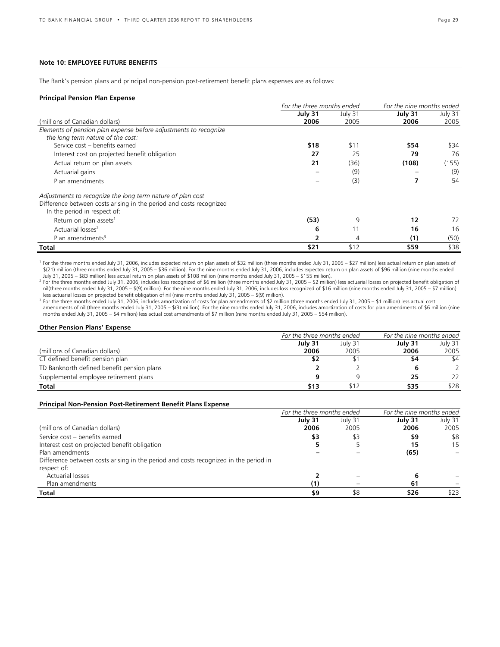# **Note 10: EMPLOYEE FUTURE BENEFITS**

The Bank's pension plans and principal non-pension post-retirement benefit plans expenses are as follows:

### **Principal Pension Plan Expense**

|                                                                     | For the three months ended |         | For the nine months ended |         |
|---------------------------------------------------------------------|----------------------------|---------|---------------------------|---------|
|                                                                     | July 31                    | July 31 | July 31                   | July 31 |
| (millions of Canadian dollars)                                      | 2006                       | 2005    | 2006                      | 2005    |
| Elements of pension plan expense before adjustments to recognize    |                            |         |                           |         |
| the long term nature of the cost:                                   |                            |         |                           |         |
| Service cost - benefits earned                                      | \$18                       | \$11    | \$54                      | \$34    |
| Interest cost on projected benefit obligation                       | 27                         | 25      | 79                        | 76      |
| Actual return on plan assets                                        | 21                         | (36)    | (108)                     | (155)   |
| Actuarial gains                                                     |                            | (9)     |                           | (9)     |
| Plan amendments                                                     |                            | (3)     |                           | 54      |
| Adjustments to recognize the long term nature of plan cost          |                            |         |                           |         |
| Difference between costs arising in the period and costs recognized |                            |         |                           |         |
| In the period in respect of:                                        |                            |         |                           |         |
| Return on plan assets <sup>1</sup>                                  | (53)                       | 9       | 12                        | 72      |
| Actuarial losses <sup>2</sup>                                       | 6                          | 11      | 16                        | 16      |
| Plan amendments <sup>3</sup>                                        |                            |         | (1)                       | (50)    |
| Total                                                               | \$21                       | \$12    | \$59                      | \$38    |

<sup>1</sup> For the three months ended July 31, 2006, includes expected return on plan assets of \$32 million (three months ended July 31, 2005 – \$27 million) less actual return on plan assets of \$(21) million (three months ended July 31, 2005 – \$36 million). For the nine months ended July 31, 2006, includes expected return on plan assets of \$96 million (nine months ended July 31, 2005 – \$83 million) less actual return on plan assets of \$108 million (nine months ended July 31, 2005 – \$155 million). 2

<sup>2</sup> For the three months ended July 31, 2006, includes loss recognized of \$6 million (three months ended July 31, 2005 – \$2 million) less actuarial losses on projected benefit obligation of nil(three months ended July 31, 2005 – \$(9) million). For the nine months ended July 31, 2006, includes loss recognized of \$16 million (nine months ended July 31, 2005 – \$7 million) less actuarial losses on projected benefit obligation of nil (nine months ended July 31, 2005 – \$(9) million).

<sup>3</sup> For the three months ended July 31, 2006, includes amortization of costs for plan amendments of \$2 million (three months ended July 31, 2005 – \$1 million) less actual cost amendments of nil (three months ended July 31, 2005 – \$(3) million). For the nine months ended July 31, 2006, includes amortization of costs for plan amendments of \$6 million (nine months ended July 31, 2005 – \$4 million) less actual cost amendments of \$7 million (nine months ended July 31, 2005 – \$54 million).

### **Other Pension Plans' Expense**

|                                            | For the three months ended |         | For the nine months ended |               |
|--------------------------------------------|----------------------------|---------|---------------------------|---------------|
|                                            | July 31                    | July 31 | July 31                   | July 31       |
| (millions of Canadian dollars)             | 2006                       | 2005    | 2006                      | 2005          |
| CT defined benefit pension plan            |                            |         | \$4                       | \$4           |
| TD Banknorth defined benefit pension plans |                            |         |                           | $\mathcal{P}$ |
| Supplemental employee retirement plans     |                            |         | 25                        | 22            |
| Total                                      | \$13                       | \$12    | \$35                      | \$28          |

### **Principal Non-Pension Post-Retirement Benefit Plans Expense**

|                                                                                      | For the three months ended |         | For the nine months ended |         |
|--------------------------------------------------------------------------------------|----------------------------|---------|---------------------------|---------|
|                                                                                      | July 31                    | July 31 | July 31                   | July 31 |
| (millions of Canadian dollars)                                                       | 2006                       | 2005    | 2006                      | 2005    |
| Service cost - benefits earned                                                       | \$3                        | \$3     | \$9                       | \$8     |
| Interest cost on projected benefit obligation                                        |                            |         | 15                        | 15      |
| Plan amendments                                                                      |                            |         | (65)                      |         |
| Difference between costs arising in the period and costs recognized in the period in |                            |         |                           |         |
| respect of:                                                                          |                            |         |                           |         |
| Actuarial losses                                                                     |                            |         |                           |         |
| Plan amendments                                                                      | '1)                        |         | 61                        |         |
| Total                                                                                | \$9                        | \$8     | \$26                      | \$23    |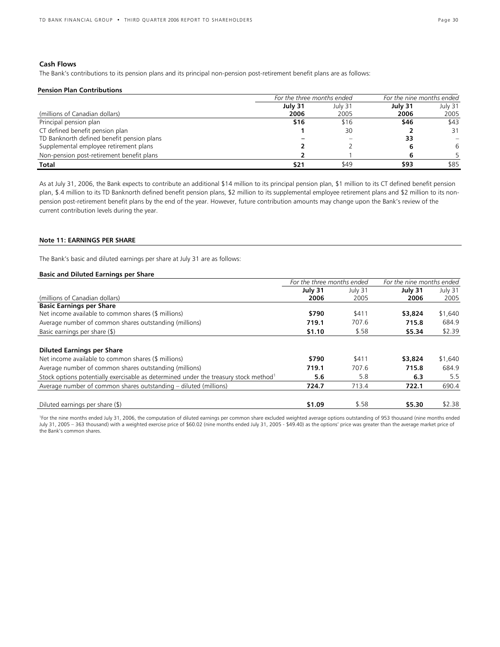# **Cash Flows**

The Bank's contributions to its pension plans and its principal non-pension post-retirement benefit plans are as follows:

### **Pension Plan Contributions**

|                                            |         | For the three months ended |         | For the nine months ended |
|--------------------------------------------|---------|----------------------------|---------|---------------------------|
|                                            | July 31 | July 31                    | July 31 | July 31                   |
| (millions of Canadian dollars)             | 2006    | 2005                       | 2006    | 2005                      |
| Principal pension plan                     | \$16    | \$16                       | \$46    | \$43                      |
| CT defined benefit pension plan            |         | 30                         |         | 31                        |
| TD Banknorth defined benefit pension plans |         |                            | 33      |                           |
| Supplemental employee retirement plans     |         |                            |         | 6                         |
| Non-pension post-retirement benefit plans  |         |                            |         |                           |
| <b>Total</b>                               | \$21    | \$49                       | \$93    | \$85                      |

As at July 31, 2006, the Bank expects to contribute an additional \$14 million to its principal pension plan, \$1 million to its CT defined benefit pension plan, \$.4 million to its TD Banknorth defined benefit pension plans, \$2 million to its supplemental employee retirement plans and \$2 million to its nonpension post-retirement benefit plans by the end of the year. However, future contribution amounts may change upon the Bank's review of the current contribution levels during the year.

### **Note 11: EARNINGS PER SHARE**

The Bank's basic and diluted earnings per share at July 31 are as follows:

### **Basic and Diluted Earnings per Share**

|                                                                                                  | For the three months ended |         | For the nine months ended |         |  |
|--------------------------------------------------------------------------------------------------|----------------------------|---------|---------------------------|---------|--|
|                                                                                                  | July 31                    | July 31 | July 31                   | July 31 |  |
| (millions of Canadian dollars)                                                                   | 2006                       | 2005    | 2006                      | 2005    |  |
| <b>Basic Earnings per Share</b>                                                                  |                            |         |                           |         |  |
| Net income available to common shares (\$ millions)                                              | \$790                      | \$411   | \$3,824                   | \$1,640 |  |
| Average number of common shares outstanding (millions)                                           | 719.1                      | 707.6   | 715.8                     | 684.9   |  |
| Basic earnings per share $(\$)$                                                                  | \$1.10                     | \$.58   | \$5.34                    | \$2.39  |  |
| <b>Diluted Earnings per Share</b>                                                                |                            |         |                           |         |  |
| Net income available to common shares (\$ millions)                                              | \$790                      | \$411   | \$3,824                   | \$1,640 |  |
| Average number of common shares outstanding (millions)                                           | 719.1                      | 707.6   | 715.8                     | 684.9   |  |
| Stock options potentially exercisable as determined under the treasury stock method <sup>1</sup> | 5.6                        | 5.8     | 6.3                       | 5.5     |  |
| Average number of common shares outstanding – diluted (millions)                                 | 724.7                      | 713.4   | 722.1                     | 690.4   |  |
| Diluted earnings per share (\$)                                                                  | \$1.09                     | \$.58   | \$5.30                    | \$2.38  |  |

1 For the nine months ended July 31, 2006, the computation of diluted earnings per common share excluded weighted average options outstanding of 953 thousand (nine months ended July 31, 2005 – 363 thousand) with a weighted exercise price of \$60.02 (nine months ended July 31, 2005 - \$49.40) as the options' price was greater than the average market price of the Bank's common shares.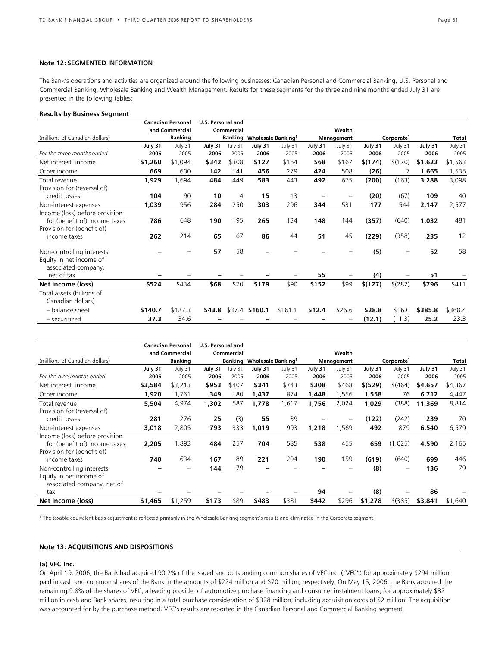### **Note 12: SEGMENTED INFORMATION**

The Bank's operations and activities are organized around the following businesses: Canadian Personal and Commercial Banking, U.S. Personal and Commercial Banking, Wholesale Banking and Wealth Management. Results for these segments for the three and nine months ended July 31 are presented in the following tables:

### **Results by Business Segment**

|                                |         | <b>Canadian Personal</b> | <b>U.S. Personal and</b> |            |                                      |         |         |            |         |                          |         |         |
|--------------------------------|---------|--------------------------|--------------------------|------------|--------------------------------------|---------|---------|------------|---------|--------------------------|---------|---------|
|                                |         | and Commercial           |                          | Commercial |                                      |         |         | Wealth     |         |                          |         |         |
| (millions of Canadian dollars) |         | <b>Banking</b>           |                          | Banking    | <b>Wholesale Banking<sup>1</sup></b> |         |         | Management |         | Corporate <sup>1</sup>   |         | Total   |
|                                | July 31 | July 31                  | July 31                  | July 31    | July 31                              | July 31 | July 31 | July 31    | July 31 | July 31                  | July 31 | July 31 |
| For the three months ended     | 2006    | 2005                     | 2006                     | 2005       | 2006                                 | 2005    | 2006    | 2005       | 2006    | 2005                     | 2006    | 2005    |
| Net interest income            | \$1,260 | \$1,094                  | \$342                    | \$308      | \$127                                | \$164   | \$68    | \$167      | \$(174) | \$(170)                  | \$1,623 | \$1,563 |
| Other income                   | 669     | 600                      | 142                      | 141        | 456                                  | 279     | 424     | 508        | (26)    |                          | 1,665   | 1,535   |
| Total revenue                  | 1,929   | 1,694                    | 484                      | 449        | 583                                  | 443     | 492     | 675        | (200)   | (163)                    | 3,288   | 3,098   |
| Provision for (reversal of)    |         |                          |                          |            |                                      |         |         |            |         |                          |         |         |
| credit losses                  | 104     | 90                       | 10                       | 4          | 15                                   | 13      |         |            | (20)    | (67)                     | 109     | 40      |
| Non-interest expenses          | 1,039   | 956                      | 284                      | 250        | 303                                  | 296     | 344     | 531        | 177     | 544                      | 2,147   | 2,577   |
| Income (loss) before provision |         |                          |                          |            |                                      |         |         |            |         |                          |         |         |
| for (benefit of) income taxes  | 786     | 648                      | 190                      | 195        | 265                                  | 134     | 148     | 144        | (357)   | (640)                    | 1,032   | 481     |
| Provision for (benefit of)     |         |                          |                          |            |                                      |         |         |            |         |                          |         |         |
| income taxes                   | 262     | 214                      | 65                       | 67         | 86                                   | 44      | 51      | 45         | (229)   | (358)                    | 235     | 12      |
| Non-controlling interests      |         |                          | 57                       | 58         |                                      |         |         |            | (5)     | $\overline{\phantom{0}}$ | 52      | 58      |
| Equity in net income of        |         |                          |                          |            |                                      |         |         |            |         |                          |         |         |
| associated company,            |         |                          |                          |            |                                      |         |         |            |         |                          |         |         |
| net of tax                     |         |                          |                          |            |                                      |         | 55      |            | (4)     |                          | 51      |         |
| Net income (loss)              | \$524   | \$434                    | \$68                     | \$70       | \$179                                | \$90    | \$152   | \$99       | \$(127) | \$(282)                  | \$796   | \$411   |
| Total assets (billions of      |         |                          |                          |            |                                      |         |         |            |         |                          |         |         |
| Canadian dollars)              |         |                          |                          |            |                                      |         |         |            |         |                          |         |         |
| - balance sheet                | \$140.7 | \$127.3                  | \$43.8                   |            | \$37.4 \$160.1                       | \$161.1 | \$12.4  | \$26.6     | \$28.8  | \$16.0                   | \$385.8 | \$368.4 |
| - securitized                  | 37.3    | 34.6                     |                          |            |                                      |         |         |            | (12.1)  | (11.3)                   | 25.2    | 23.3    |

|                                                       |         | <b>Canadian Personal</b> | U.S. Personal and |            |                                |         |         |            |          |                        |         |         |
|-------------------------------------------------------|---------|--------------------------|-------------------|------------|--------------------------------|---------|---------|------------|----------|------------------------|---------|---------|
|                                                       |         | and Commercial           |                   | Commercial |                                |         |         | Wealth     |          |                        |         |         |
| (millions of Canadian dollars)                        |         | <b>Banking</b>           |                   | Banking    | Wholesale Banking <sup>1</sup> |         |         | Management |          | Corporate <sup>1</sup> |         | Total   |
|                                                       | July 31 | July 31                  | July 31           | July 31    | July 31                        | July 31 | July 31 | July 31    | July 31  | July 31                | July 31 | July 31 |
| For the nine months ended                             | 2006    | 2005                     | 2006              | 2005       | 2006                           | 2005    | 2006    | 2005       | 2006     | 2005                   | 2006    | 2005    |
| Net interest income                                   | \$3,584 | \$3,213                  | \$953             | \$407      | \$341                          | \$743   | \$308   | \$468      | \$ (529) | \$(464)                | \$4,657 | \$4,367 |
| Other income                                          | 1,920   | 1,761                    | 349               | 180        | 1,437                          | 874     | 1,448   | ,556       | 1,558    | 76                     | 6,712   | 4,447   |
| Total revenue                                         | 5,504   | 4,974                    | 1,302             | 587        | 1,778                          | 1,617   | 1,756   | 2,024      | 1,029    | (388)                  | 11,369  | 8,814   |
| Provision for (reversal of)                           |         |                          |                   |            |                                |         |         |            |          |                        |         |         |
| credit losses                                         | 281     | 276                      | 25                | (3)        | 55                             | 39      |         | -          | (122)    | (242)                  | 239     | 70      |
| Non-interest expenses                                 | 3,018   | 2,805                    | 793               | 333        | 1,019                          | 993     | 1,218   | ,569       | 492      | 879                    | 6,540   | 6,579   |
| Income (loss) before provision                        |         |                          |                   |            |                                |         |         |            |          |                        |         |         |
| for (benefit of) income taxes                         | 2,205   | 1,893                    | 484               | 257        | 704                            | 585     | 538     | 455        | 659      | (1,025)                | 4,590   | 2,165   |
| Provision for (benefit of)                            |         |                          |                   |            |                                |         |         |            |          |                        |         |         |
| income taxes                                          | 740     | 634                      | 167               | 89         | 221                            | 204     | 190     | 159        | (619)    | (640)                  | 699     | 446     |
| Non-controlling interests                             |         |                          | 144               | 79         |                                |         |         |            | (8)      | $\qquad \qquad \qquad$ | 136     | 79      |
| Equity in net income of<br>associated company, net of |         |                          |                   |            |                                |         |         |            |          |                        |         |         |
| tax                                                   |         |                          |                   |            |                                |         | 94      |            | (8)      |                        | 86      |         |
| Net income (loss)                                     | \$1,465 | \$1,259                  | \$173             | \$89       | \$483                          | \$381   | \$442   | \$296      | \$1,278  | $$$ (385)              | \$3,841 | \$1,640 |

1 The taxable equivalent basis adjustment is reflected primarily in the Wholesale Banking segment's results and eliminated in the Corporate segment.

### **Note 13: ACQUISITIONS AND DISPOSITIONS**

### **(a) VFC Inc.**

On April 19, 2006, the Bank had acquired 90.2% of the issued and outstanding common shares of VFC Inc. ("VFC") for approximately \$294 million, paid in cash and common shares of the Bank in the amounts of \$224 million and \$70 million, respectively. On May 15, 2006, the Bank acquired the remaining 9.8% of the shares of VFC, a leading provider of automotive purchase financing and consumer instalment loans, for approximately \$32 million in cash and Bank shares, resulting in a total purchase consideration of \$328 million, including acquisition costs of \$2 million. The acquisition was accounted for by the purchase method. VFC's results are reported in the Canadian Personal and Commercial Banking segment.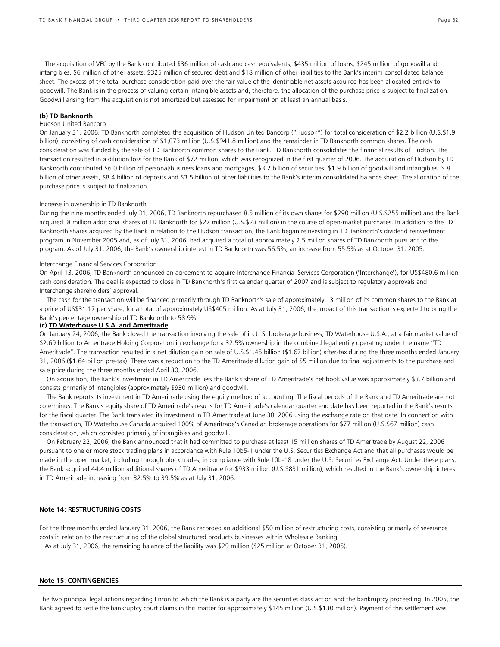The acquisition of VFC by the Bank contributed \$36 million of cash and cash equivalents, \$435 million of loans, \$245 million of goodwill and intangibles, \$6 million of other assets, \$325 million of secured debt and \$18 million of other liabilities to the Bank's interim consolidated balance sheet. The excess of the total purchase consideration paid over the fair value of the identifiable net assets acquired has been allocated entirely to goodwill. The Bank is in the process of valuing certain intangible assets and, therefore, the allocation of the purchase price is subject to finalization. Goodwill arising from the acquisition is not amortized but assessed for impairment on at least an annual basis.

### **(b) TD Banknorth**

### Hudson United Bancorp

On January 31, 2006, TD Banknorth completed the acquisition of Hudson United Bancorp ("Hudson") for total consideration of \$2.2 billion (U.S.\$1.9 billion), consisting of cash consideration of \$1,073 million (U.S.\$941.8 million) and the remainder in TD Banknorth common shares. The cash consideration was funded by the sale of TD Banknorth common shares to the Bank. TD Banknorth consolidates the financial results of Hudson. The transaction resulted in a dilution loss for the Bank of \$72 million, which was recognized in the first quarter of 2006. The acquisition of Hudson by TD Banknorth contributed \$6.0 billion of personal/business loans and mortgages, \$3.2 billion of securities, \$1.9 billion of goodwill and intangibles, \$.8 billion of other assets, \$8.4 billion of deposits and \$3.5 billion of other liabilities to the Bank's interim consolidated balance sheet. The allocation of the purchase price is subject to finalization.

### Increase in ownership in TD Banknorth

During the nine months ended July 31, 2006, TD Banknorth repurchased 8.5 million of its own shares for \$290 million (U.S.\$255 million) and the Bank acquired .8 million additional shares of TD Banknorth for \$27 million (U.S.\$23 million) in the course of open-market purchases. In addition to the TD Banknorth shares acquired by the Bank in relation to the Hudson transaction, the Bank began reinvesting in TD Banknorth's dividend reinvestment program in November 2005 and, as of July 31, 2006, had acquired a total of approximately 2.5 million shares of TD Banknorth pursuant to the program. As of July 31, 2006, the Bank's ownership interest in TD Banknorth was 56.5%, an increase from 55.5% as at October 31, 2005.

### Interchange Financial Services Corporation

On April 13, 2006, TD Banknorth announced an agreement to acquire Interchange Financial Services Corporation ("Interchange"), for US\$480.6 million cash consideration. The deal is expected to close in TD Banknorth's first calendar quarter of 2007 and is subject to regulatory approvals and Interchange shareholders' approval.

The cash for the transaction will be financed primarily through TD Banknorth's sale of approximately 13 million of its common shares to the Bank at a price of US\$31.17 per share, for a total of approximately US\$405 million. As at July 31, 2006, the impact of this transaction is expected to bring the Bank's percentage ownership of TD Banknorth to 58.9%.

### **(c) TD Waterhouse U.S.A. and Ameritrade**

On January 24, 2006, the Bank closed the transaction involving the sale of its U.S. brokerage business, TD Waterhouse U.S.A., at a fair market value of \$2.69 billion to Ameritrade Holding Corporation in exchange for a 32.5% ownership in the combined legal entity operating under the name "TD Ameritrade". The transaction resulted in a net dilution gain on sale of U.S.\$1.45 billion (\$1.67 billion) after-tax during the three months ended January 31, 2006 (\$1.64 billion pre-tax). There was a reduction to the TD Ameritrade dilution gain of \$5 million due to final adjustments to the purchase and sale price during the three months ended April 30, 2006.

On acquisition, the Bank's investment in TD Ameritrade less the Bank's share of TD Ameritrade's net book value was approximately \$3.7 billion and consists primarily of intangibles (approximately \$930 million) and goodwill.

The Bank reports its investment in TD Ameritrade using the equity method of accounting. The fiscal periods of the Bank and TD Ameritrade are not coterminus. The Bank's equity share of TD Ameritrade's results for TD Ameritrade's calendar quarter end date has been reported in the Bank's results for the fiscal quarter. The Bank translated its investment in TD Ameritrade at June 30, 2006 using the exchange rate on that date. In connection with the transaction, TD Waterhouse Canada acquired 100% of Ameritrade's Canadian brokerage operations for \$77 million (U.S.\$67 million) cash consideration, which consisted primarily of intangibles and goodwill.

On February 22, 2006, the Bank announced that it had committed to purchase at least 15 million shares of TD Ameritrade by August 22, 2006 pursuant to one or more stock trading plans in accordance with Rule 10b5-1 under the U.S. Securities Exchange Act and that all purchases would be made in the open market, including through block trades, in compliance with Rule 10b-18 under the U.S. Securities Exchange Act. Under these plans, the Bank acquired 44.4 million additional shares of TD Ameritrade for \$933 million (U.S.\$831 million), which resulted in the Bank's ownership interest in TD Ameritrade increasing from 32.5% to 39.5% as at July 31, 2006.

### **Note 14: RESTRUCTURING COSTS**

For the three months ended January 31, 2006, the Bank recorded an additional \$50 million of restructuring costs, consisting primarily of severance costs in relation to the restructuring of the global structured products businesses within Wholesale Banking.

As at July 31, 2006, the remaining balance of the liability was \$29 million (\$25 million at October 31, 2005).

### **Note 15**: **CONTINGENCIES**

The two principal legal actions regarding Enron to which the Bank is a party are the securities class action and the bankruptcy proceeding. In 2005, the Bank agreed to settle the bankruptcy court claims in this matter for approximately \$145 million (U.S.\$130 million). Payment of this settlement was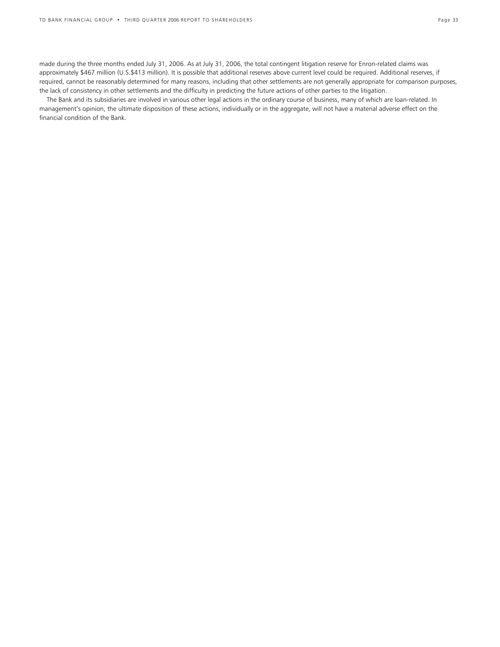made during the three months ended July 31, 2006. As at July 31, 2006, the total contingent litigation reserve for Enron-related claims was approximately \$467 million (U.S.\$413 million). It is possible that additional reserves above current level could be required. Additional reserves, if required, cannot be reasonably determined for many reasons, including that other settlements are not generally appropriate for comparison purposes, the lack of consistency in other settlements and the difficulty in predicting the future actions of other parties to the litigation.

The Bank and its subsidiaries are involved in various other legal actions in the ordinary course of business, many of which are loan-related. In management's opinion, the ultimate disposition of these actions, individually or in the aggregate, will not have a material adverse effect on the financial condition of the Bank.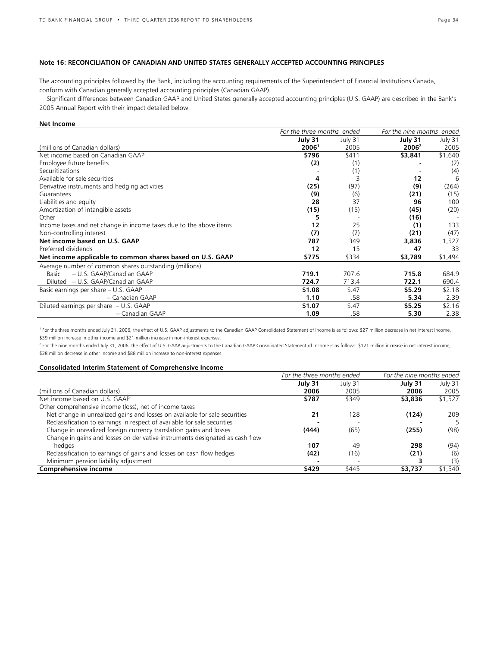# **Note 16: RECONCILIATION OF CANADIAN AND UNITED STATES GENERALLY ACCEPTED ACCOUNTING PRINCIPLES**

The accounting principles followed by the Bank, including the accounting requirements of the Superintendent of Financial Institutions Canada, conform with Canadian generally accepted accounting principles (Canadian GAAP).

Significant differences between Canadian GAAP and United States generally accepted accounting principles (U.S. GAAP) are described in the Bank's 2005 Annual Report with their impact detailed below.

### **Net Income**

|                                                                    | For the three months ended |         | For the nine months ended |         |  |
|--------------------------------------------------------------------|----------------------------|---------|---------------------------|---------|--|
|                                                                    | July 31                    | July 31 | July 31                   | July 31 |  |
| (millions of Canadian dollars)                                     | 2006 <sup>1</sup>          | 2005    | 2006 <sup>2</sup>         | 2005    |  |
| Net income based on Canadian GAAP                                  | \$796                      | \$411   | \$3,841                   | \$1,640 |  |
| Employee future benefits                                           | (2)                        | (1)     |                           | (2)     |  |
| Securitizations                                                    |                            | (1)     |                           | (4)     |  |
| Available for sale securities                                      | 4                          |         | 12                        | 6       |  |
| Derivative instruments and hedging activities                      | (25)                       | (97)    | (9)                       | (264)   |  |
| Guarantees                                                         | (9)                        | (6)     | (21)                      | (15)    |  |
| Liabilities and equity                                             | 28                         | 37      | 96                        | 100     |  |
| Amortization of intangible assets                                  | (15)                       | (15)    | (45)                      | (20)    |  |
| Other                                                              |                            |         | (16)                      |         |  |
| Income taxes and net change in income taxes due to the above items | 12                         | 25      | (1)                       | 133     |  |
| Non-controlling interest                                           | (7)                        | (7)     | (21)                      | (47)    |  |
| Net income based on U.S. GAAP                                      | 787                        | 349     | 3,836                     | 1,527   |  |
| Preferred dividends                                                | 12                         | 15      | 47                        | 33      |  |
| Net income applicable to common shares based on U.S. GAAP          | \$775                      | \$334   | \$3,789                   | \$1,494 |  |
| Average number of common shares outstanding (millions)             |                            |         |                           |         |  |
| – U.S. GAAP/Canadian GAAP<br>Basic                                 | 719.1                      | 707.6   | 715.8                     | 684.9   |  |
| – U.S. GAAP/Canadian GAAP<br>Diluted                               | 724.7                      | 713.4   | 722.1                     | 690.4   |  |
| Basic earnings per share – U.S. GAAP                               | \$1.08                     | \$.47   | \$5.29                    | \$2.18  |  |
| - Canadian GAAP                                                    | 1.10                       | .58     | 5.34                      | 2.39    |  |
| Diluted earnings per share - U.S. GAAP                             | \$1.07                     | \$.47   | \$5.25                    | \$2.16  |  |
| - Canadian GAAP                                                    | 1.09                       | .58     | 5.30                      | 2.38    |  |

<sup>1</sup> For the three months ended July 31, 2006, the effect of U.S. GAAP adjustments to the Canadian GAAP Consolidated Statement of Income is as follows: \$27 million decrease in net interest income, \$39 million increase in other income and \$21 million increase in non-interest expenses.

<sup>2</sup> For the nine months ended July 31, 2006, the effect of U.S. GAAP adjustments to the Canadian GAAP Consolidated Statement of Income is as follows: \$121 million increase in net interest income, \$38 million decrease in other income and \$88 million increase to non-interest expenses.

# **Consolidated Interim Statement of Comprehensive Income**

|                                                                              | For the three months ended |         | For the nine months ended |         |  |
|------------------------------------------------------------------------------|----------------------------|---------|---------------------------|---------|--|
|                                                                              | July 31                    | July 31 | July 31                   | July 31 |  |
| (millions of Canadian dollars)                                               | 2006                       | 2005    | 2006                      | 2005    |  |
| Net income based on U.S. GAAP                                                | \$787                      | \$349   | \$3,836                   | \$1,527 |  |
| Other comprehensive income (loss), net of income taxes                       |                            |         |                           |         |  |
| Net change in unrealized gains and losses on available for sale securities   | 21                         | 128     | (124)                     | 209     |  |
| Reclassification to earnings in respect of available for sale securities     |                            |         |                           | 5       |  |
| Change in unrealized foreign currency translation gains and losses           | (444)                      | (65)    | (255)                     | (98)    |  |
| Change in gains and losses on derivative instruments designated as cash flow |                            |         |                           |         |  |
| hedges                                                                       | 107                        | 49      | 298                       | (94)    |  |
| Reclassification to earnings of gains and losses on cash flow hedges         | (42)                       | (16)    | (21)                      | (6)     |  |
| Minimum pension liability adjustment                                         |                            |         |                           | (3)     |  |
| Comprehensive income                                                         | \$429                      | \$445   | \$3,737                   | \$1,540 |  |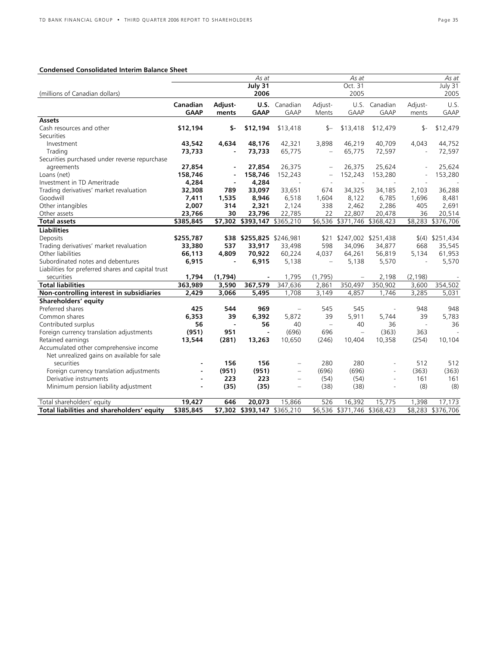# **Condensed Consolidated Interim Balance Sheet**

|                                                    |             |         | As at                       |                          |                          | As at                       |                |          | As at             |
|----------------------------------------------------|-------------|---------|-----------------------------|--------------------------|--------------------------|-----------------------------|----------------|----------|-------------------|
|                                                    |             |         | July 31                     |                          |                          | Oct. 31                     |                |          | July 31           |
| (millions of Canadian dollars)                     |             |         | 2006                        |                          |                          | 2005                        |                |          | 2005              |
|                                                    | Canadian    | Adjust- |                             | <b>U.S.</b> Canadian     | Adjust-                  | U.S.                        | Canadian       | Adjust-  | U.S.              |
|                                                    | <b>GAAP</b> | ments   | <b>GAAP</b>                 | <b>GAAP</b>              | Ments                    | GAAP                        | <b>GAAP</b>    | ments    | <b>GAAP</b>       |
| <b>Assets</b>                                      |             |         |                             |                          |                          |                             |                |          |                   |
| Cash resources and other                           | \$12,194    | \$-     | \$12,194                    | \$13,418                 | \$—                      | \$13,418                    | \$12,479       | \$-      | \$12,479          |
| <b>Securities</b>                                  |             |         |                             |                          |                          |                             |                |          |                   |
| Investment                                         | 43,542      | 4,634   | 48,176                      | 42,321                   | 3,898                    | 46,219                      | 40,709         | 4,043    | 44,752            |
| Trading                                            | 73,733      |         | 73,733                      | 65,775                   | $\equiv$                 | 65,775                      | 72,597         |          | 72,597            |
| Securities purchased under reverse repurchase      |             |         |                             |                          |                          |                             |                |          |                   |
| agreements                                         | 27,854      |         | 27,854                      | 26,375                   |                          | 26,375                      | 25,624         |          | 25,624            |
| Loans (net)                                        | 158,746     |         | 158,746                     | 152,243                  |                          | 152,243                     | 153,280        |          | 153,280           |
| Investment in TD Ameritrade                        | 4,284       |         | 4,284                       |                          |                          |                             |                |          |                   |
| Trading derivatives' market revaluation            | 32,308      | 789     | 33,097                      | 33,651                   | 674                      | 34,325                      | 34,185         | 2,103    | 36,288            |
| Goodwill                                           | 7,411       | 1,535   | 8,946                       | 6,518                    | 1,604                    | 8,122                       | 6,785          | 1,696    | 8,481             |
| Other intangibles                                  | 2,007       | 314     | 2,321                       | 2,124                    | 338                      | 2,462                       | 2,286          | 405      | 2,691             |
| Other assets                                       | 23,766      | 30      | 23,796                      | 22,785                   | 22                       | 22,807                      | 20,478         | 36       | 20,514            |
| <b>Total assets</b>                                | \$385,845   |         | \$7,302 \$393,147 \$365,210 |                          |                          | \$6,536 \$371,746 \$368,423 |                |          | \$8,283 \$376,706 |
| <b>Liabilities</b>                                 |             |         |                             |                          |                          |                             |                |          |                   |
| Deposits                                           | \$255,787   |         | \$38 \$255,825 \$246,981    |                          | \$21                     | \$247,002 \$251,438         |                |          | $(4)$ \$251,434   |
| Trading derivatives' market revaluation            | 33,380      | 537     | 33,917                      | 33,498                   | 598                      | 34,096                      | 34,877         | 668      | 35,545            |
| Other liabilities                                  | 66,113      | 4,809   | 70,922                      | 60,224                   | 4,037                    | 64,261                      | 56,819         | 5.134    | 61,953            |
| Subordinated notes and debentures                  | 6,915       |         | 6,915                       | 5,138                    | $\overline{\phantom{m}}$ | 5,138                       | 5,570          |          | 5,570             |
| Liabilities for preferred shares and capital trust |             |         |                             |                          |                          |                             |                |          |                   |
| securities                                         | 1,794       | (1,794) |                             | 1,795                    | (1,795)                  |                             | 2,198          | (2, 198) |                   |
| <b>Total liabilities</b>                           | 363,989     | 3,590   | 367,579                     | 347,636                  | 2,861                    | 350,497                     | 350,902        | 3,600    | 354,502           |
| Non-controlling interest in subsidiaries           | 2,429       | 3,066   | 5,495                       | 1,708                    | 3,149                    | 4,857                       | 1,746          | 3,285    | 5,031             |
| Shareholders' equity                               |             |         |                             |                          |                          |                             |                |          |                   |
| Preferred shares                                   | 425         | 544     | 969                         |                          | 545                      | 545                         | $\overline{a}$ | 948      | 948               |
| Common shares                                      | 6,353       | 39      | 6,392                       | 5,872                    | 39                       | 5,911                       | 5.744          | 39       | 5,783             |
| Contributed surplus                                | 56          |         | 56                          | 40                       | $\equiv$                 | 40                          | 36             | $\sim$   | 36                |
| Foreign currency translation adjustments           | (951)       | 951     | $\blacksquare$              | (696)                    | 696                      | $\equiv$                    | (363)          | 363      |                   |
| Retained earnings                                  | 13,544      | (281)   | 13,263                      | 10,650                   | (246)                    | 10,404                      | 10,358         | (254)    | 10,104            |
| Accumulated other comprehensive income             |             |         |                             |                          |                          |                             |                |          |                   |
| Net unrealized gains on available for sale         |             |         |                             |                          |                          |                             |                |          |                   |
| securities                                         |             | 156     | 156                         |                          | 280                      | 280                         |                | 512      | 512               |
| Foreign currency translation adjustments           |             | (951)   | (951)                       |                          | (696)                    | (696)                       | $\sim$         | (363)    | (363)             |
| Derivative instruments                             |             | 223     | 223                         | $\overline{\phantom{m}}$ | (54)                     | (54)                        | $\sim$         | 161      | 161               |
| Minimum pension liability adjustment               |             | (35)    | (35)                        | $\overline{\phantom{m}}$ | (38)                     | (38)                        | $\overline{a}$ | (8)      | (8)               |
| Total shareholders' equity                         | 19,427      | 646     | 20,073                      | 15,866                   | 526                      | 16,392                      | 15,775         | 1,398    | 17,173            |
| Total liabilities and shareholders' equity         | \$385,845   |         | \$7,302 \$393,147 \$365,210 |                          |                          | \$6,536 \$371,746 \$368,423 |                |          | \$8,283 \$376,706 |